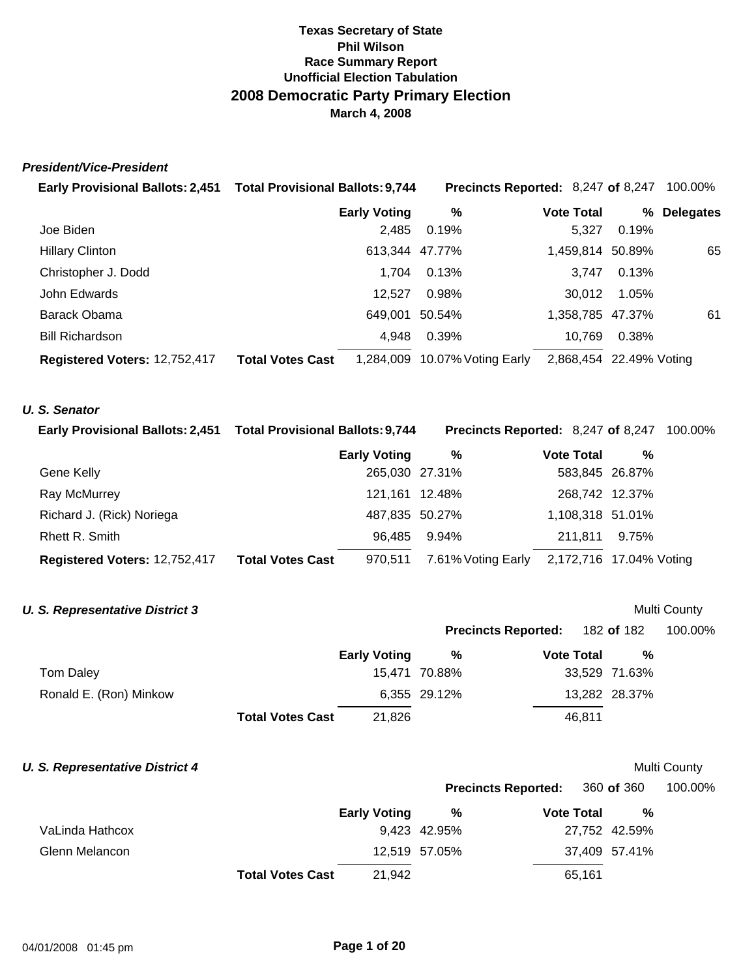### *President/Vice-President*

| Early Provisional Ballots: 2,451 Total Provisional Ballots: 9,744 |                         |                     | Precincts Reported: 8,247 of 8,247 |                         |       | 100.00%          |
|-------------------------------------------------------------------|-------------------------|---------------------|------------------------------------|-------------------------|-------|------------------|
|                                                                   |                         | <b>Early Voting</b> | %                                  | <b>Vote Total</b>       | %     | <b>Delegates</b> |
| Joe Biden                                                         |                         | 2,485               | 0.19%                              | 5.327                   | 0.19% |                  |
| <b>Hillary Clinton</b>                                            |                         | 613,344 47.77%      |                                    | 1,459,814 50.89%        |       | 65               |
| Christopher J. Dodd                                               |                         | 1.704               | 0.13%                              | 3.747                   | 0.13% |                  |
| John Edwards                                                      |                         | 12.527              | 0.98%                              | 30.012                  | 1.05% |                  |
| Barack Obama                                                      |                         | 649.001             | 50.54%                             | 1,358,785 47.37%        |       | 61               |
| <b>Bill Richardson</b>                                            |                         | 4.948               | 0.39%                              | 10,769                  | 0.38% |                  |
| Registered Voters: 12,752,417                                     | <b>Total Votes Cast</b> | 1,284,009           | 10.07% Voting Early                | 2,868,454 22.49% Voting |       |                  |

### *U. S. Senator*

| Early Provisional Ballots: 2,451 Total Provisional Ballots: 9,744 |                         |                     | <b>Precincts Reported: 8,247 of 8,247 100.00%</b> |                         |       |  |
|-------------------------------------------------------------------|-------------------------|---------------------|---------------------------------------------------|-------------------------|-------|--|
|                                                                   |                         | <b>Early Voting</b> | %                                                 | <b>Vote Total</b>       | %     |  |
| Gene Kelly                                                        |                         | 265,030 27.31%      |                                                   | 583,845 26.87%          |       |  |
| Ray McMurrey                                                      |                         | 121,161 12.48%      |                                                   | 268,742 12.37%          |       |  |
| Richard J. (Rick) Noriega                                         |                         | 487,835 50.27%      |                                                   | 1,108,318 51.01%        |       |  |
| Rhett R. Smith                                                    |                         | 96.485              | 9.94%                                             | 211.811                 | 9.75% |  |
| Registered Voters: 12,752,417                                     | <b>Total Votes Cast</b> | 970,511             | 7.61% Voting Early                                | 2,172,716 17.04% Voting |       |  |

### **U. S. Representative District 3** Multi County

| <b>Precincts Reported:</b> | 182 of 182 | 100.00% |
|----------------------------|------------|---------|
|----------------------------|------------|---------|

**Precincts Reported:** 360 **of** 360 100.00%

|                        |                         | <b>Early Voting</b> | %             | <b>Vote Total</b> | %             |
|------------------------|-------------------------|---------------------|---------------|-------------------|---------------|
| Tom Daley              |                         |                     | 15,471 70.88% |                   | 33.529 71.63% |
| Ronald E. (Ron) Minkow |                         |                     | 6,355 29.12%  |                   | 13,282 28.37% |
|                        | <b>Total Votes Cast</b> | 21,826              |               | 46.811            |               |

### **U. S. Representative District 4 Multi County Multi County Multi County**

|                 |                         | <b>Early Voting</b> | %             | <b>Vote Total</b> | %             |
|-----------------|-------------------------|---------------------|---------------|-------------------|---------------|
| VaLinda Hathcox |                         |                     | 9.423 42.95%  |                   | 27,752 42.59% |
| Glenn Melancon  |                         |                     | 12,519 57.05% |                   | 37,409 57.41% |
|                 | <b>Total Votes Cast</b> | 21.942              |               | 65,161            |               |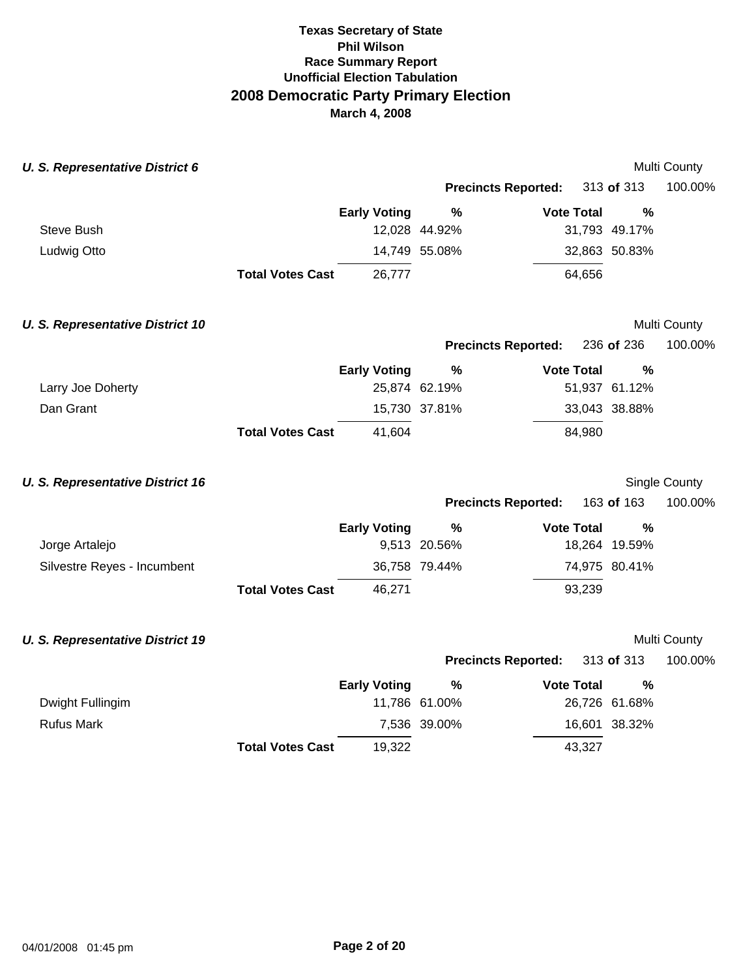| <b>U. S. Representative District 6</b>  |                         |                     |                            |                   |               | Multi County  |
|-----------------------------------------|-------------------------|---------------------|----------------------------|-------------------|---------------|---------------|
|                                         |                         |                     | <b>Precincts Reported:</b> |                   | 313 of 313    | 100.00%       |
|                                         |                         | <b>Early Voting</b> | $\%$                       | <b>Vote Total</b> | %             |               |
| Steve Bush                              |                         |                     | 12,028 44.92%              |                   | 31,793 49.17% |               |
| Ludwig Otto                             |                         |                     | 14,749 55.08%              |                   | 32,863 50.83% |               |
|                                         | <b>Total Votes Cast</b> | 26,777              |                            | 64,656            |               |               |
| <b>U. S. Representative District 10</b> |                         |                     |                            |                   |               | Multi County  |
|                                         |                         |                     | <b>Precincts Reported:</b> |                   | 236 of 236    | 100.00%       |
|                                         |                         | <b>Early Voting</b> | $\frac{9}{6}$              | <b>Vote Total</b> | %             |               |
| Larry Joe Doherty                       |                         |                     | 25,874 62.19%              |                   | 51,937 61.12% |               |
| Dan Grant                               |                         |                     | 15,730 37.81%              |                   | 33,043 38.88% |               |
|                                         | <b>Total Votes Cast</b> | 41,604              |                            | 84,980            |               |               |
| <b>U. S. Representative District 16</b> |                         |                     |                            |                   |               | Single County |
|                                         |                         |                     | <b>Precincts Reported:</b> |                   | 163 of 163    | 100.00%       |
|                                         |                         | <b>Early Voting</b> | %                          | <b>Vote Total</b> | %             |               |
| Jorge Artalejo                          |                         |                     | 9,513 20.56%               |                   | 18,264 19.59% |               |
| Silvestre Reyes - Incumbent             |                         |                     | 36,758 79.44%              |                   | 74,975 80.41% |               |
|                                         | <b>Total Votes Cast</b> | 46,271              |                            | 93,239            |               |               |
| <b>U. S. Representative District 19</b> |                         |                     |                            |                   |               | Multi County  |
|                                         |                         |                     | <b>Precincts Reported:</b> |                   | 313 of 313    | 100.00%       |
|                                         |                         | <b>Early Voting</b> | $\frac{9}{6}$              | <b>Vote Total</b> | %             |               |
| Dwight Fullingim                        |                         |                     | 11,786 61.00%              |                   | 26,726 61.68% |               |
| <b>Rufus Mark</b>                       |                         |                     | 7,536 39.00%               |                   | 16,601 38.32% |               |
|                                         | <b>Total Votes Cast</b> | 19,322              |                            | 43,327            |               |               |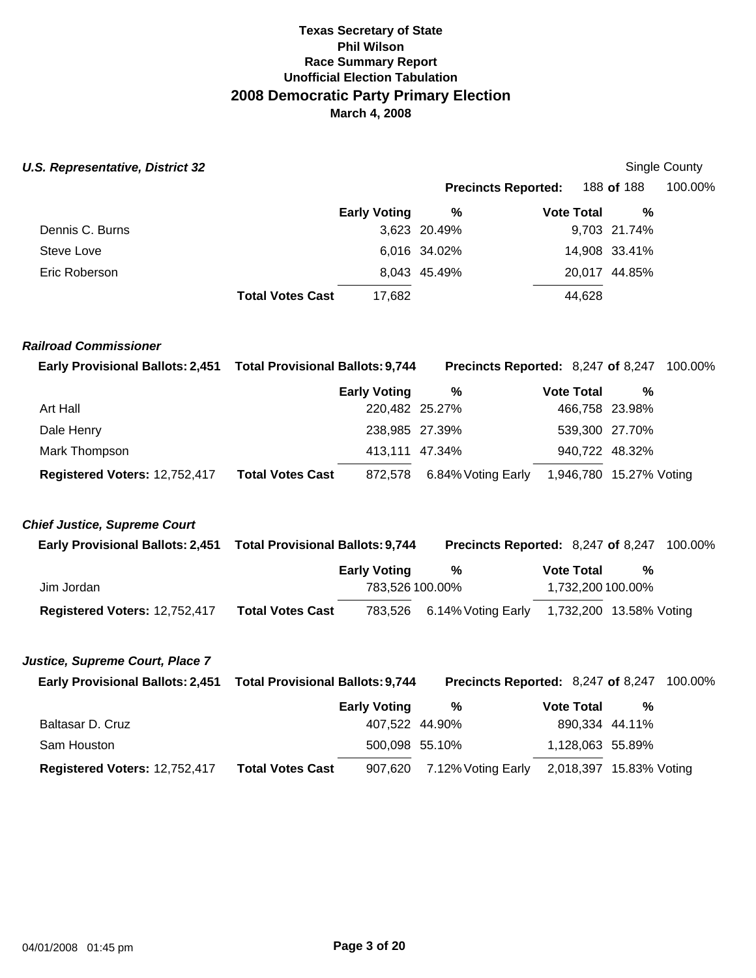### **U.S. Representative, District 32** Single County

# **Precincts Reported:** 188 **of** 188 100.00%

|                 |                         | <b>Early Voting</b> | %            | <b>Vote Total</b> | %             |
|-----------------|-------------------------|---------------------|--------------|-------------------|---------------|
| Dennis C. Burns |                         |                     | 3,623 20.49% |                   | 9,703 21.74%  |
| Steve Love      |                         |                     | 6,016 34.02% |                   | 14,908 33.41% |
| Eric Roberson   |                         |                     | 8,043 45.49% |                   | 20,017 44.85% |
|                 | <b>Total Votes Cast</b> | 17,682              |              | 44,628            |               |

### *Railroad Commissioner*

| Early Provisional Ballots: 2,451 Total Provisional Ballots: 9,744 |                         |                     |                    |                   | <b>Precincts Reported: 8,247 of 8,247 100.00%</b> |
|-------------------------------------------------------------------|-------------------------|---------------------|--------------------|-------------------|---------------------------------------------------|
|                                                                   |                         | <b>Early Voting</b> | %                  | <b>Vote Total</b> | %                                                 |
| Art Hall                                                          |                         | 220,482 25.27%      |                    | 466,758 23.98%    |                                                   |
| Dale Henry                                                        |                         | 238,985 27.39%      |                    | 539,300 27.70%    |                                                   |
| Mark Thompson                                                     |                         | 413,111 47.34%      |                    | 940,722 48.32%    |                                                   |
| Registered Voters: 12,752,417                                     | <b>Total Votes Cast</b> | 872,578             | 6.84% Voting Early |                   | 1,946,780 15.27% Voting                           |

### *Chief Justice, Supreme Court*

| <b>Early Provisional Ballots: 2,451</b> | <b>Total Provisional Ballots: 9,744</b> |                     | Precincts Reported: 8,247 of 8,247 |                         |   | 100.00% |
|-----------------------------------------|-----------------------------------------|---------------------|------------------------------------|-------------------------|---|---------|
|                                         |                                         | <b>Early Voting</b> | %                                  | <b>Vote Total</b>       | % |         |
| Jim Jordan                              |                                         | 783,526 100.00%     |                                    | 1,732,200 100.00%       |   |         |
| Registered Voters: 12,752,417           | <b>Total Votes Cast</b>                 |                     | 783,526 6.14% Voting Early         | 1,732,200 13.58% Voting |   |         |

### *Justice, Supreme Court, Place 7*

| Early Provisional Ballots: 2,451 Total Provisional Ballots: 9,744 |                         |                     |                            | <b>Precincts Reported: 8,247 of 8,247 100.00%</b> |                         |  |
|-------------------------------------------------------------------|-------------------------|---------------------|----------------------------|---------------------------------------------------|-------------------------|--|
|                                                                   |                         | <b>Early Voting</b> | %                          | <b>Vote Total</b>                                 | %                       |  |
| Baltasar D. Cruz                                                  |                         | 407.522 44.90%      |                            |                                                   | 890,334 44.11%          |  |
| Sam Houston                                                       |                         | 500,098 55.10%      |                            | 1,128,063 55.89%                                  |                         |  |
| Registered Voters: 12,752,417                                     | <b>Total Votes Cast</b> |                     | 907,620 7.12% Voting Early |                                                   | 2,018,397 15.83% Voting |  |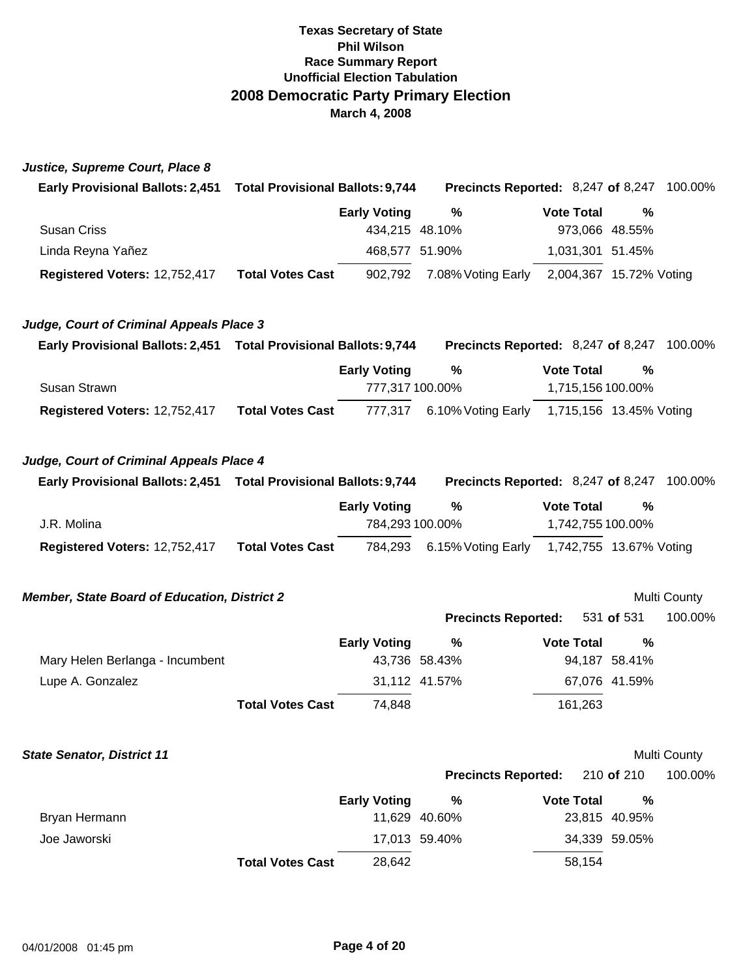| Justice, Supreme Court, Place 8 |  |
|---------------------------------|--|
|                                 |  |

| <b>Early Provisional Ballots: 2,451</b> | <b>Total Provisional Ballots: 9,744</b> |                    |                   | <b>Precincts Reported: 8,247 of 8,247 100.00%</b> |
|-----------------------------------------|-----------------------------------------|--------------------|-------------------|---------------------------------------------------|
|                                         | <b>Early Voting</b>                     | %                  | <b>Vote Total</b> | %                                                 |
| Susan Criss                             |                                         | 434.215 48.10%     | 973,066 48.55%    |                                                   |
| Linda Reyna Yañez                       |                                         | 468,577 51.90%     | 1,031,301 51.45%  |                                                   |
| Registered Voters: 12,752,417           | <b>Total Votes Cast</b><br>902.792      | 7.08% Voting Early |                   | 2,004,367 15.72% Voting                           |

### *Judge, Court of Criminal Appeals Place 3*

| <b>Early Provisional Ballots: 2,451</b> |                         | <b>Precincts Reported: 8,247 of 8,247</b><br><b>Total Provisional Ballots: 9,744</b> |                            |                   |                         | 100.00% |
|-----------------------------------------|-------------------------|--------------------------------------------------------------------------------------|----------------------------|-------------------|-------------------------|---------|
|                                         |                         | <b>Early Voting</b>                                                                  | %                          | <b>Vote Total</b> | %                       |         |
| Susan Strawn                            |                         | 777.317 100.00%                                                                      |                            |                   | 1,715,156 100.00%       |         |
| Registered Voters: 12,752,417           | <b>Total Votes Cast</b> |                                                                                      | 777,317 6.10% Voting Early |                   | 1,715,156 13.45% Voting |         |

### *Judge, Court of Criminal Appeals Place 4*

| <b>Early Provisional Ballots: 2,451</b> | <b>Total Provisional Ballots: 9,744</b> |                     |                            | Precincts Reported: 8,247 of 8,247 | 100.00% |
|-----------------------------------------|-----------------------------------------|---------------------|----------------------------|------------------------------------|---------|
|                                         |                                         | <b>Early Voting</b> | %                          | <b>Vote Total</b>                  | %       |
| J.R. Molina                             |                                         | 784.293 100.00%     |                            | 1,742,755 100.00%                  |         |
| Registered Voters: 12,752,417           | <b>Total Votes Cast</b>                 |                     | 784,293 6.15% Voting Early | 1,742,755 13.67% Voting            |         |

### **Member, State Board of Education, District 2** and the state of the Multi County

**Precincts Reported:** 531 **of** 531 100.00%

|                                 | <b>Early Voting</b> | %             | <b>Vote Total</b> | %             |
|---------------------------------|---------------------|---------------|-------------------|---------------|
| Mary Helen Berlanga - Incumbent |                     | 43.736 58.43% |                   | 94.187 58.41% |
| Lupe A. Gonzalez                |                     | 31.112 41.57% |                   | 67,076 41.59% |
| <b>Total Votes Cast</b>         | 74,848              |               | 161.263           |               |

### **State Senator, District 11 Multi County**

**Precincts Reported:** 210 **of** 210 100.00%

|               |                         | <b>Early Voting</b> | %             | <b>Vote Total</b> | %             |
|---------------|-------------------------|---------------------|---------------|-------------------|---------------|
| Bryan Hermann |                         |                     | 11.629 40.60% |                   | 23,815 40.95% |
| Joe Jaworski  |                         |                     | 17,013 59.40% |                   | 34,339 59.05% |
|               | <b>Total Votes Cast</b> | 28.642              |               | 58.154            |               |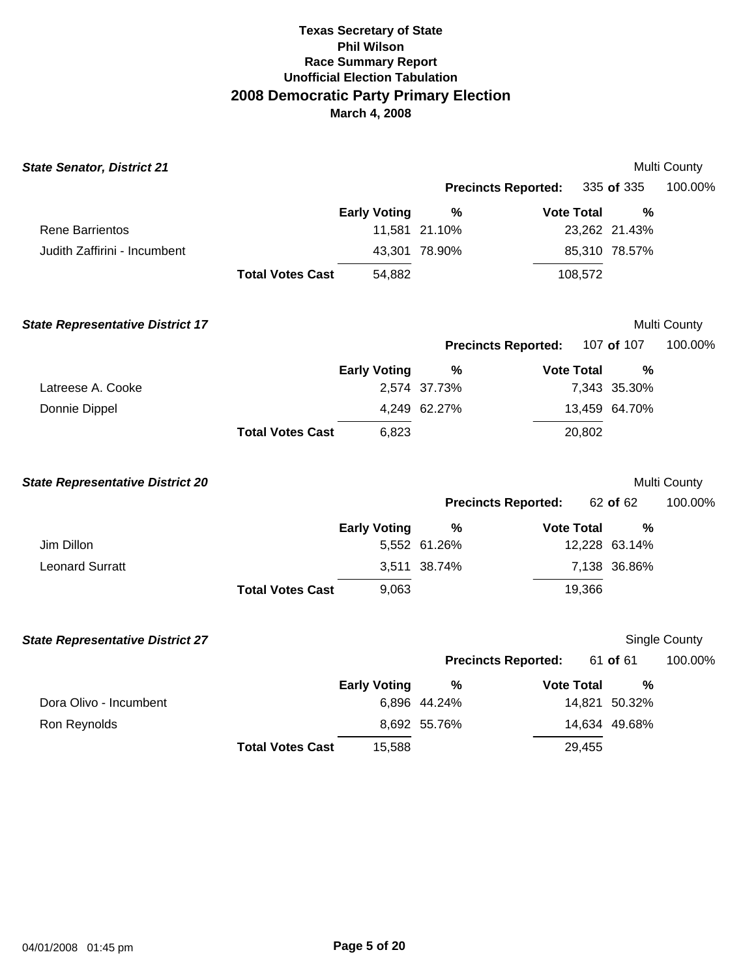| <b>State Senator, District 21</b>       |                         |                     |               |                            |               | Multi County  |
|-----------------------------------------|-------------------------|---------------------|---------------|----------------------------|---------------|---------------|
|                                         |                         |                     |               | <b>Precincts Reported:</b> | 335 of 335    | 100.00%       |
|                                         |                         | <b>Early Voting</b> | $\frac{9}{6}$ | <b>Vote Total</b>          | %             |               |
| <b>Rene Barrientos</b>                  |                         |                     | 11,581 21.10% |                            | 23,262 21.43% |               |
| Judith Zaffirini - Incumbent            |                         |                     | 43,301 78.90% |                            | 85,310 78.57% |               |
|                                         | <b>Total Votes Cast</b> | 54,882              |               | 108,572                    |               |               |
| <b>State Representative District 17</b> |                         |                     |               |                            |               | Multi County  |
|                                         |                         |                     |               | <b>Precincts Reported:</b> | 107 of 107    | 100.00%       |
|                                         |                         | <b>Early Voting</b> | $\%$          | <b>Vote Total</b>          | %             |               |
| Latreese A. Cooke                       |                         |                     | 2,574 37.73%  |                            | 7,343 35.30%  |               |
| Donnie Dippel                           |                         |                     | 4,249 62.27%  |                            | 13,459 64.70% |               |
|                                         | <b>Total Votes Cast</b> | 6,823               |               | 20,802                     |               |               |
| <b>State Representative District 20</b> |                         |                     |               |                            |               | Multi County  |
|                                         |                         |                     |               | <b>Precincts Reported:</b> | 62 of 62      | 100.00%       |
|                                         |                         | <b>Early Voting</b> | $\frac{9}{6}$ | <b>Vote Total</b>          | %             |               |
| Jim Dillon                              |                         |                     | 5,552 61.26%  |                            | 12,228 63.14% |               |
| <b>Leonard Surratt</b>                  |                         |                     | 3,511 38.74%  |                            | 7,138 36.86%  |               |
|                                         | <b>Total Votes Cast</b> | 9,063               |               | 19,366                     |               |               |
| <b>State Representative District 27</b> |                         |                     |               |                            |               | Single County |
|                                         |                         |                     |               | <b>Precincts Reported:</b> | 61 of 61      | 100.00%       |
|                                         |                         | <b>Early Voting</b> | $\frac{9}{6}$ | <b>Vote Total</b>          | %             |               |
| Dora Olivo - Incumbent                  |                         |                     | 6,896 44.24%  |                            | 14,821 50.32% |               |
| Ron Reynolds                            |                         |                     | 8,692 55.76%  |                            | 14,634 49.68% |               |
|                                         |                         |                     |               |                            |               |               |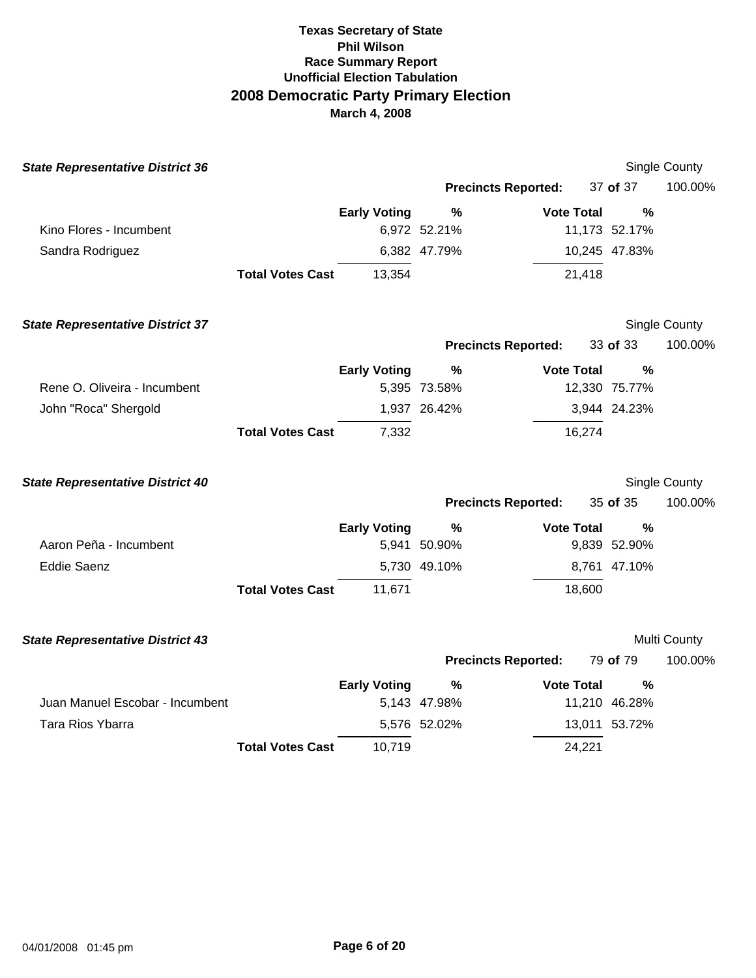| <b>State Representative District 36</b> |                         |                     |                            |                   |               | <b>Single County</b> |
|-----------------------------------------|-------------------------|---------------------|----------------------------|-------------------|---------------|----------------------|
|                                         |                         |                     | <b>Precincts Reported:</b> |                   | 37 of 37      | 100.00%              |
|                                         |                         | <b>Early Voting</b> | %                          | <b>Vote Total</b> | %             |                      |
| Kino Flores - Incumbent                 |                         |                     | 6,972 52.21%               |                   | 11,173 52.17% |                      |
| Sandra Rodriguez                        |                         |                     | 6,382 47.79%               |                   | 10,245 47.83% |                      |
|                                         | <b>Total Votes Cast</b> | 13,354              |                            | 21,418            |               |                      |
| <b>State Representative District 37</b> |                         |                     |                            |                   |               | Single County        |
|                                         |                         |                     | <b>Precincts Reported:</b> |                   | 33 of 33      | 100.00%              |
|                                         |                         | <b>Early Voting</b> | %                          | <b>Vote Total</b> | $\frac{0}{0}$ |                      |
| Rene O. Oliveira - Incumbent            |                         |                     | 5,395 73.58%               |                   | 12,330 75.77% |                      |
| John "Roca" Shergold                    |                         |                     | 1,937 26.42%               |                   | 3,944 24.23%  |                      |
|                                         | <b>Total Votes Cast</b> | 7,332               |                            | 16,274            |               |                      |
| <b>State Representative District 40</b> |                         |                     |                            |                   |               | Single County        |
|                                         |                         |                     | <b>Precincts Reported:</b> |                   | 35 of 35      | 100.00%              |
|                                         |                         | <b>Early Voting</b> | $\%$                       | <b>Vote Total</b> | %             |                      |
| Aaron Peña - Incumbent                  |                         |                     | 5,941 50.90%               |                   | 9,839 52.90%  |                      |
| <b>Eddie Saenz</b>                      |                         |                     | 5,730 49.10%               |                   | 8,761 47.10%  |                      |
|                                         | <b>Total Votes Cast</b> | 11,671              |                            | 18,600            |               |                      |
| <b>State Representative District 43</b> |                         |                     |                            |                   |               | Multi County         |
|                                         |                         |                     | <b>Precincts Reported:</b> |                   | 79 of 79      | 100.00%              |
|                                         |                         | <b>Early Voting</b> | $\frac{9}{6}$              | <b>Vote Total</b> | $\frac{0}{0}$ |                      |
| Juan Manuel Escobar - Incumbent         |                         |                     | 5,143 47.98%               |                   | 11,210 46.28% |                      |
| <b>Tara Rios Ybarra</b>                 |                         |                     | 5,576 52.02%               |                   | 13,011 53.72% |                      |
|                                         | <b>Total Votes Cast</b> | 10,719              |                            | 24,221            |               |                      |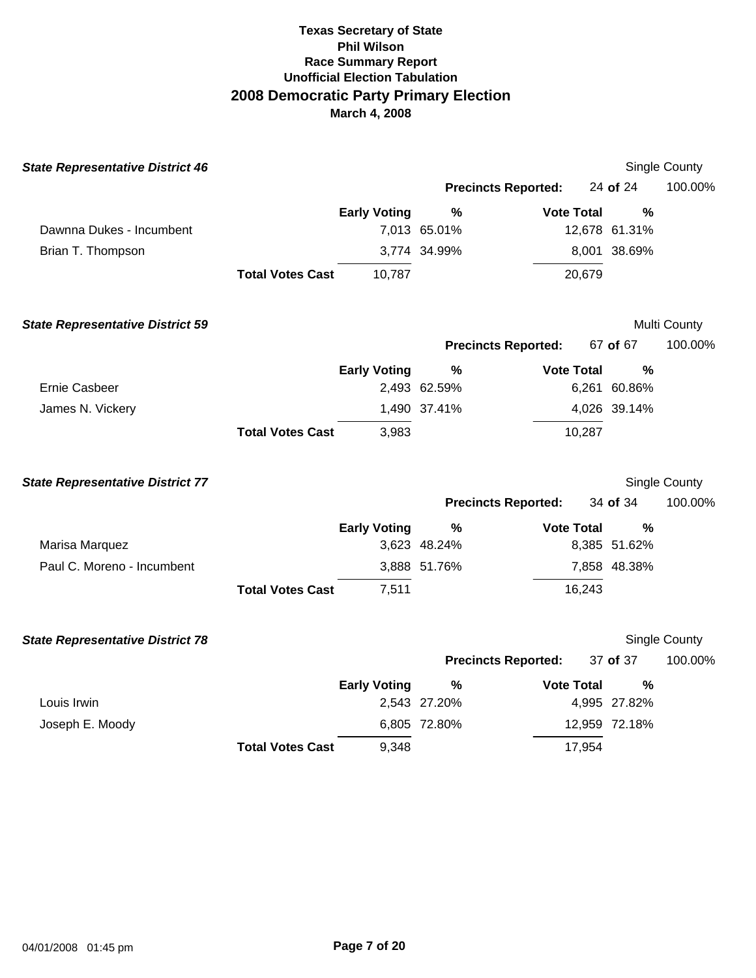| <b>State Representative District 46</b> |                         |                     |                            |                   |               | Single County |
|-----------------------------------------|-------------------------|---------------------|----------------------------|-------------------|---------------|---------------|
|                                         |                         |                     | <b>Precincts Reported:</b> |                   | 24 of 24      | 100.00%       |
|                                         |                         | <b>Early Voting</b> | $\%$                       | <b>Vote Total</b> | $\frac{0}{0}$ |               |
| Dawnna Dukes - Incumbent                |                         |                     | 7,013 65.01%               |                   | 12,678 61.31% |               |
| Brian T. Thompson                       |                         |                     | 3,774 34.99%               |                   | 8,001 38.69%  |               |
|                                         | <b>Total Votes Cast</b> | 10,787              |                            | 20,679            |               |               |
| <b>State Representative District 59</b> |                         |                     |                            |                   |               | Multi County  |
|                                         |                         |                     | <b>Precincts Reported:</b> |                   | 67 of 67      | 100.00%       |
|                                         |                         | <b>Early Voting</b> | %                          | <b>Vote Total</b> | %             |               |
| <b>Ernie Casbeer</b>                    |                         |                     | 2,493 62.59%               |                   | 6,261 60.86%  |               |
| James N. Vickery                        |                         |                     | 1,490 37.41%               |                   | 4,026 39.14%  |               |
|                                         | <b>Total Votes Cast</b> | 3,983               |                            | 10,287            |               |               |
| <b>State Representative District 77</b> |                         |                     |                            |                   |               | Single County |
|                                         |                         |                     | <b>Precincts Reported:</b> |                   | 34 of 34      | 100.00%       |
|                                         |                         | <b>Early Voting</b> | $\%$                       | <b>Vote Total</b> | %             |               |
| Marisa Marquez                          |                         |                     | 3,623 48.24%               |                   | 8,385 51.62%  |               |
| Paul C. Moreno - Incumbent              |                         |                     | 3,888 51.76%               |                   | 7,858 48.38%  |               |
|                                         | <b>Total Votes Cast</b> | 7,511               |                            | 16,243            |               |               |
| <b>State Representative District 78</b> |                         |                     |                            |                   |               | Single County |
|                                         |                         |                     | <b>Precincts Reported:</b> |                   | 37 of 37      | 100.00%       |
|                                         |                         | <b>Early Voting</b> | $\frac{6}{6}$              | <b>Vote Total</b> | $\%$          |               |
| Louis Irwin                             |                         |                     | 2,543 27.20%               |                   | 4,995 27.82%  |               |
| Joseph E. Moody                         |                         |                     | 6,805 72.80%               |                   | 12,959 72.18% |               |
|                                         | <b>Total Votes Cast</b> | 9,348               |                            | 17,954            |               |               |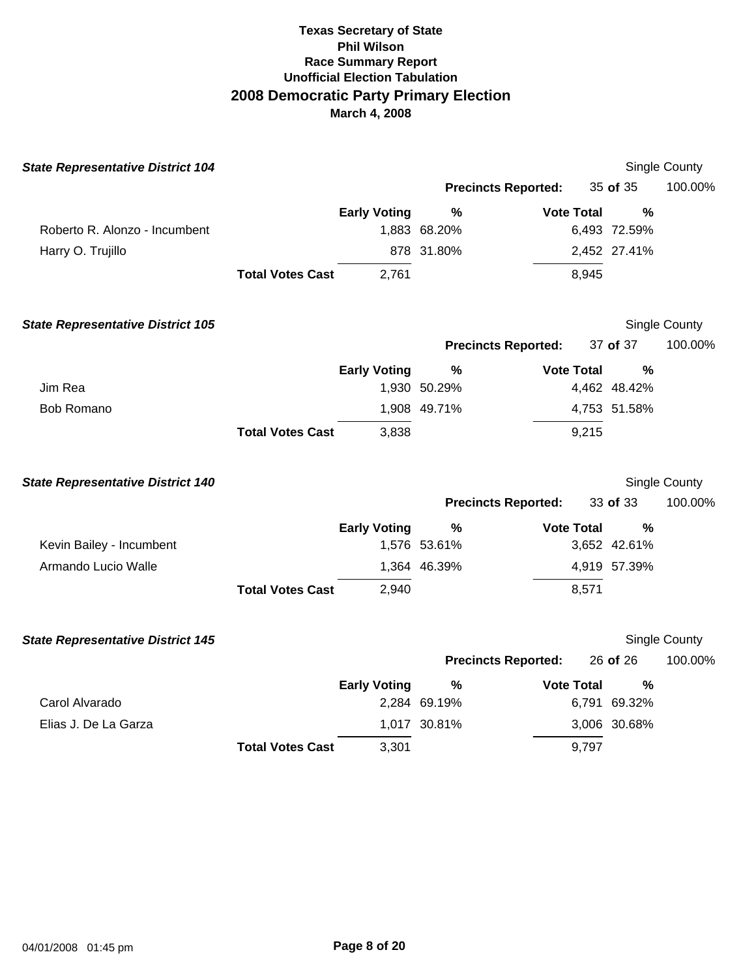| <b>State Representative District 104</b> |                         |                     |                            |                   |               | Single County |
|------------------------------------------|-------------------------|---------------------|----------------------------|-------------------|---------------|---------------|
|                                          |                         |                     | <b>Precincts Reported:</b> |                   | 35 of 35      | 100.00%       |
|                                          |                         | <b>Early Voting</b> | %                          | <b>Vote Total</b> | $\frac{0}{0}$ |               |
| Roberto R. Alonzo - Incumbent            |                         |                     | 1,883 68.20%               |                   | 6,493 72.59%  |               |
| Harry O. Trujillo                        |                         |                     | 878 31.80%                 |                   | 2,452 27.41%  |               |
|                                          | <b>Total Votes Cast</b> | 2,761               |                            | 8,945             |               |               |
|                                          |                         |                     |                            |                   |               |               |
| <b>State Representative District 105</b> |                         |                     |                            |                   |               | Single County |
|                                          |                         |                     | <b>Precincts Reported:</b> |                   | 37 of 37      | 100.00%       |
|                                          |                         | <b>Early Voting</b> | %                          | <b>Vote Total</b> | $\frac{0}{0}$ |               |
| Jim Rea                                  |                         |                     | 1,930 50.29%               |                   | 4,462 48.42%  |               |
| <b>Bob Romano</b>                        |                         |                     | 1,908 49.71%               |                   | 4,753 51.58%  |               |
|                                          | <b>Total Votes Cast</b> | 3,838               |                            | 9,215             |               |               |
|                                          |                         |                     |                            |                   |               |               |
| <b>State Representative District 140</b> |                         |                     |                            |                   |               | Single County |
|                                          |                         |                     | <b>Precincts Reported:</b> |                   | 33 of 33      | 100.00%       |
|                                          |                         | <b>Early Voting</b> | $\%$                       | <b>Vote Total</b> | %             |               |
| Kevin Bailey - Incumbent                 |                         |                     | 1,576 53.61%               |                   | 3,652 42.61%  |               |
| Armando Lucio Walle                      |                         |                     | 1,364 46.39%               |                   | 4,919 57.39%  |               |
|                                          | <b>Total Votes Cast</b> | 2,940               |                            | 8,571             |               |               |
|                                          |                         |                     |                            |                   |               |               |
| <b>State Representative District 145</b> |                         |                     |                            |                   |               | Single County |
|                                          |                         |                     | <b>Precincts Reported:</b> |                   | 26 of 26      | 100.00%       |
|                                          |                         | <b>Early Voting</b> | %                          | <b>Vote Total</b> | $\frac{0}{0}$ |               |
| Carol Alvarado                           |                         |                     | 2,284 69.19%               |                   | 6,791 69.32%  |               |
| Elias J. De La Garza                     |                         |                     | 1,017 30.81%               |                   | 3,006 30.68%  |               |
|                                          | <b>Total Votes Cast</b> | 3,301               |                            | 9,797             |               |               |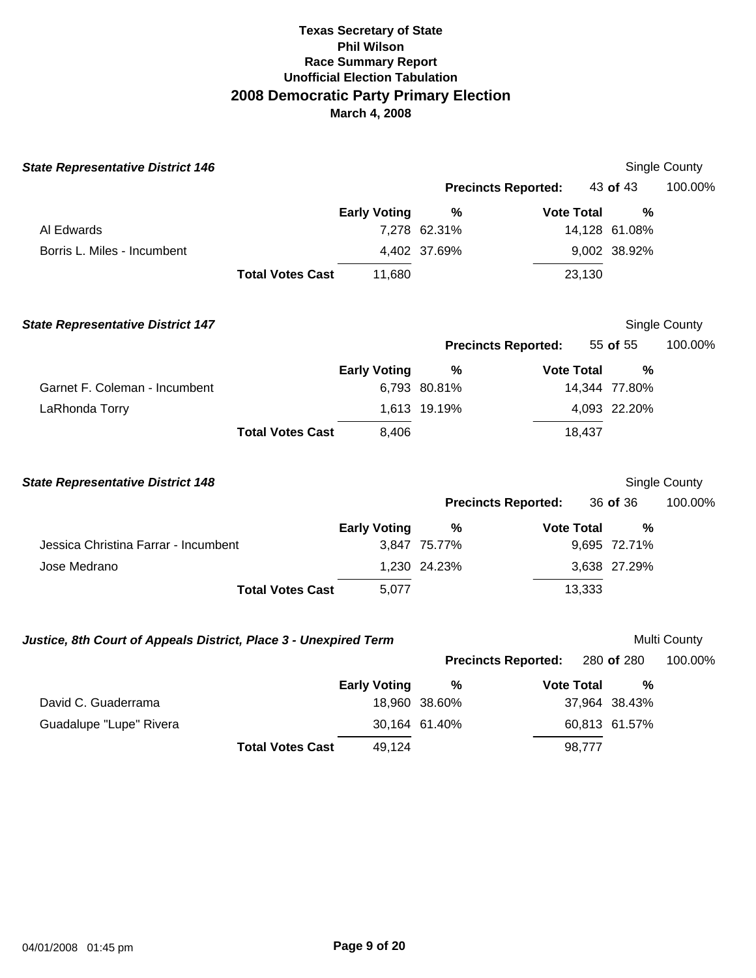| <b>State Representative District 146</b>                         |                     |                            |                   |               | <b>Single County</b>    |
|------------------------------------------------------------------|---------------------|----------------------------|-------------------|---------------|-------------------------|
|                                                                  |                     | <b>Precincts Reported:</b> |                   | 43 of 43      | 100.00%                 |
|                                                                  | <b>Early Voting</b> | $\%$                       | <b>Vote Total</b> | $\%$          |                         |
| Al Edwards                                                       |                     | 7,278 62.31%               |                   | 14,128 61.08% |                         |
| Borris L. Miles - Incumbent                                      |                     | 4,402 37.69%               |                   | 9,002 38.92%  |                         |
| <b>Total Votes Cast</b>                                          | 11,680              |                            | 23,130            |               |                         |
| <b>State Representative District 147</b>                         |                     |                            |                   |               | Single County           |
|                                                                  |                     | <b>Precincts Reported:</b> |                   | 55 of 55      | 100.00%                 |
|                                                                  | <b>Early Voting</b> | $\%$                       | <b>Vote Total</b> | $\frac{0}{0}$ |                         |
| Garnet F. Coleman - Incumbent                                    |                     | 6,793 80.81%               |                   | 14,344 77.80% |                         |
| LaRhonda Torry                                                   |                     | 1,613 19.19%               |                   | 4,093 22.20%  |                         |
| <b>Total Votes Cast</b>                                          | 8,406               |                            | 18,437            |               |                         |
| <b>State Representative District 148</b>                         |                     |                            |                   |               | Single County           |
|                                                                  |                     | <b>Precincts Reported:</b> |                   | 36 of 36      | 100.00%                 |
|                                                                  | <b>Early Voting</b> | $\%$                       | <b>Vote Total</b> | %             |                         |
| Jessica Christina Farrar - Incumbent                             |                     | 3,847 75.77%               |                   | 9,695 72.71%  |                         |
| Jose Medrano                                                     | 1,230 24.23%        |                            |                   |               |                         |
|                                                                  |                     |                            |                   | 3,638 27.29%  |                         |
| <b>Total Votes Cast</b>                                          | 5,077               |                            | 13,333            |               |                         |
|                                                                  |                     |                            |                   |               |                         |
| Justice, 8th Court of Appeals District, Place 3 - Unexpired Term |                     | <b>Precincts Reported:</b> |                   | 280 of 280    | Multi County<br>100.00% |
|                                                                  | <b>Early Voting</b> | %                          | <b>Vote Total</b> | %             |                         |
| David C. Guaderrama                                              |                     | 18,960 38.60%              |                   | 37,964 38.43% |                         |
| Guadalupe "Lupe" Rivera                                          |                     | 30,164 61.40%              |                   | 60,813 61.57% |                         |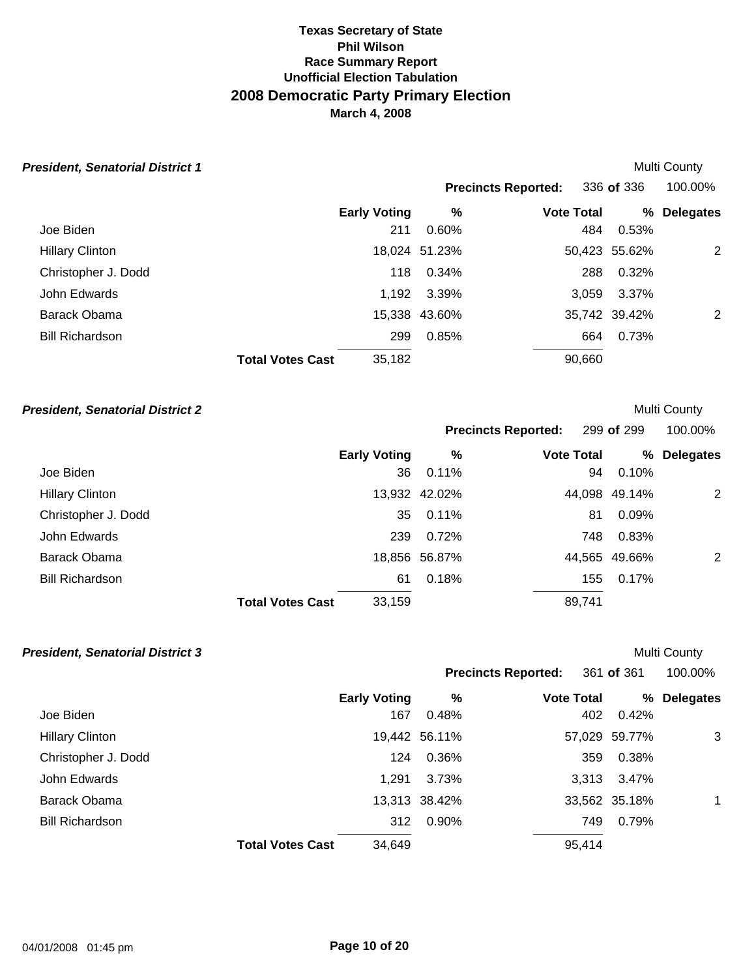| <b>President, Senatorial District 1</b> |                         |                     |               |                            |        |               | Multi County     |
|-----------------------------------------|-------------------------|---------------------|---------------|----------------------------|--------|---------------|------------------|
|                                         |                         |                     |               | <b>Precincts Reported:</b> |        | 336 of 336    | 100.00%          |
|                                         |                         | <b>Early Voting</b> | $\%$          | <b>Vote Total</b>          |        | %             | <b>Delegates</b> |
| Joe Biden                               |                         | 211                 | $0.60\%$      |                            | 484    | 0.53%         |                  |
| <b>Hillary Clinton</b>                  |                         |                     | 18,024 51.23% |                            |        | 50,423 55.62% | 2                |
| Christopher J. Dodd                     |                         | 118                 | 0.34%         |                            | 288    | 0.32%         |                  |
| John Edwards                            |                         | 1,192               | 3.39%         |                            | 3.059  | 3.37%         |                  |
| Barack Obama                            |                         |                     | 15,338 43.60% |                            |        | 35,742 39.42% | 2                |
| <b>Bill Richardson</b>                  |                         | 299                 | 0.85%         |                            | 664    | 0.73%         |                  |
|                                         | <b>Total Votes Cast</b> | 35,182              |               |                            | 90,660 |               |                  |

### **President, Senatorial District 2** and the senator of the senatorial of the senatorial of the senatorial of the senatorial of the senatorial of the senatorial of the senatorial of the senatorial of the senatorial of the se

|                        |                         |                     |               | <b>Precincts Reported:</b> |                   | 299 of 299    | 100.00%          |
|------------------------|-------------------------|---------------------|---------------|----------------------------|-------------------|---------------|------------------|
|                        |                         | <b>Early Voting</b> | %             |                            | <b>Vote Total</b> | %             | <b>Delegates</b> |
| Joe Biden              |                         | 36                  | 0.11%         |                            | 94                | 0.10%         |                  |
| <b>Hillary Clinton</b> |                         |                     | 13,932 42.02% |                            |                   | 44,098 49.14% | 2                |
| Christopher J. Dodd    |                         | 35                  | 0.11%         |                            | 81                | 0.09%         |                  |
| John Edwards           |                         | 239                 | 0.72%         |                            | 748               | 0.83%         |                  |
| Barack Obama           |                         |                     | 18,856 56.87% |                            |                   | 44,565 49.66% | 2                |
| <b>Bill Richardson</b> |                         | 61                  | 0.18%         |                            | 155               | 0.17%         |                  |
|                        | <b>Total Votes Cast</b> | 33,159              |               |                            | 89,741            |               |                  |

| <b>President, Senatorial District 3</b> |                         |                     |               |                            |               | <b>Multi County</b> |
|-----------------------------------------|-------------------------|---------------------|---------------|----------------------------|---------------|---------------------|
|                                         |                         |                     |               | <b>Precincts Reported:</b> | 361 of 361    | 100.00%             |
|                                         |                         | <b>Early Voting</b> | %             | <b>Vote Total</b>          | ℅             | <b>Delegates</b>    |
| Joe Biden                               |                         | 167                 | 0.48%         | 402                        | 0.42%         |                     |
| <b>Hillary Clinton</b>                  |                         |                     | 19,442 56.11% |                            | 57,029 59.77% | 3                   |
| Christopher J. Dodd                     |                         | 124                 | 0.36%         | 359                        | 0.38%         |                     |
| John Edwards                            |                         | 1.291               | 3.73%         | 3.313                      | 3.47%         |                     |
| Barack Obama                            |                         |                     | 13,313 38.42% |                            | 33,562 35.18% |                     |
| <b>Bill Richardson</b>                  |                         | 312                 | 0.90%         | 749                        | 0.79%         |                     |
|                                         | <b>Total Votes Cast</b> | 34,649              |               | 95,414                     |               |                     |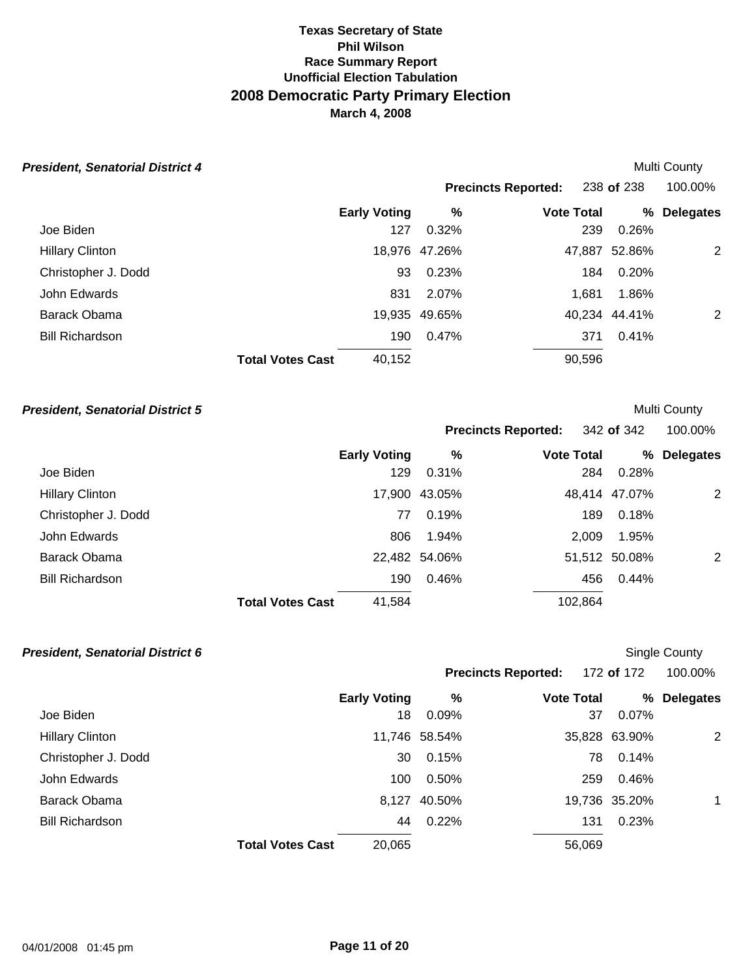| <b>President, Senatorial District 4</b> |                         |                     |               |                            |        |               | Multi County     |
|-----------------------------------------|-------------------------|---------------------|---------------|----------------------------|--------|---------------|------------------|
|                                         |                         |                     |               | <b>Precincts Reported:</b> |        | 238 of 238    | 100.00%          |
|                                         |                         | <b>Early Voting</b> | $\%$          | <b>Vote Total</b>          |        | %             | <b>Delegates</b> |
| Joe Biden                               |                         | 127                 | 0.32%         |                            | 239    | 0.26%         |                  |
| <b>Hillary Clinton</b>                  |                         |                     | 18,976 47.26% |                            | 47,887 | 52.86%        | 2                |
| Christopher J. Dodd                     |                         | 93                  | 0.23%         |                            | 184    | 0.20%         |                  |
| John Edwards                            |                         | 831                 | 2.07%         |                            | 1.681  | 1.86%         |                  |
| Barack Obama                            |                         |                     | 19,935 49.65% |                            |        | 40.234 44.41% | 2                |
| <b>Bill Richardson</b>                  |                         | 190                 | 0.47%         |                            | 371    | 0.41%         |                  |
|                                         | <b>Total Votes Cast</b> | 40,152              |               |                            | 90,596 |               |                  |

### **President, Senatorial District 5 President, Senatorial District 5**

|                        |                         |                     |               | Precincts Reported: 342 of 342 |               | 100.00%          |
|------------------------|-------------------------|---------------------|---------------|--------------------------------|---------------|------------------|
|                        |                         | <b>Early Voting</b> | %             | <b>Vote Total</b>              | %             | <b>Delegates</b> |
| Joe Biden              |                         | 129                 | 0.31%         |                                | 0.28%<br>284  |                  |
| <b>Hillary Clinton</b> |                         |                     | 17,900 43.05% |                                | 48,414 47.07% | 2                |
| Christopher J. Dodd    |                         | 77                  | 0.19%         |                                | 0.18%<br>189  |                  |
| John Edwards           |                         | 806                 | 1.94%         | 2,009                          | 1.95%         |                  |
| Barack Obama           |                         |                     | 22,482 54.06% |                                | 51,512 50.08% | 2                |
| <b>Bill Richardson</b> |                         | 190                 | 0.46%         |                                | 0.44%<br>456  |                  |
|                        | <b>Total Votes Cast</b> | 41,584              |               | 102,864                        |               |                  |

| <b>President, Senatorial District 6</b> |                         |                     |               |                            | <b>Single County</b> |               |                  |
|-----------------------------------------|-------------------------|---------------------|---------------|----------------------------|----------------------|---------------|------------------|
|                                         |                         |                     |               | <b>Precincts Reported:</b> |                      | 172 of 172    | 100.00%          |
|                                         |                         | <b>Early Voting</b> | %             | <b>Vote Total</b>          |                      | ℅             | <b>Delegates</b> |
| Joe Biden                               |                         | 18                  | 0.09%         |                            | 37                   | 0.07%         |                  |
| <b>Hillary Clinton</b>                  |                         |                     | 11,746 58.54% |                            |                      | 35,828 63.90% | 2                |
| Christopher J. Dodd                     |                         | 30                  | 0.15%         |                            | 78                   | 0.14%         |                  |
| John Edwards                            |                         | 100                 | 0.50%         |                            | 259                  | 0.46%         |                  |
| Barack Obama                            |                         | 8,127               | 40.50%        |                            |                      | 19,736 35.20% | $\mathbf 1$      |
| <b>Bill Richardson</b>                  |                         | 44                  | 0.22%         |                            | 131                  | 0.23%         |                  |
|                                         | <b>Total Votes Cast</b> | 20,065              |               | 56,069                     |                      |               |                  |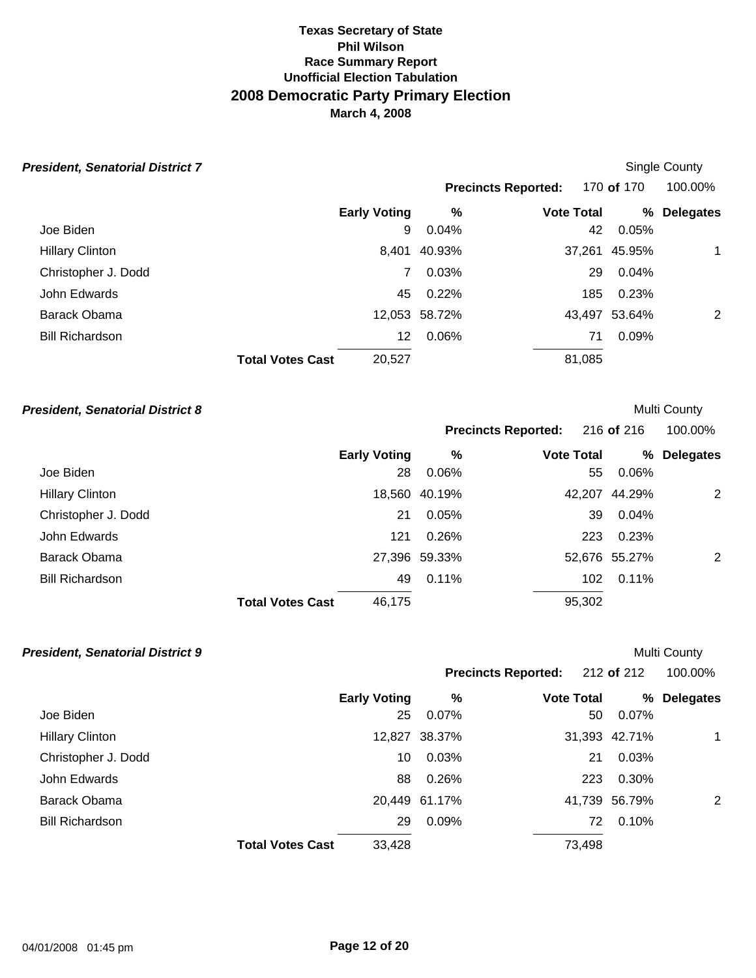| <b>President, Senatorial District 7</b> |                         |                     |               |                            | Single County |               |                  |
|-----------------------------------------|-------------------------|---------------------|---------------|----------------------------|---------------|---------------|------------------|
|                                         |                         |                     |               | <b>Precincts Reported:</b> |               | 170 of 170    | 100.00%          |
|                                         |                         | <b>Early Voting</b> | %             | <b>Vote Total</b>          |               | ℅             | <b>Delegates</b> |
| Joe Biden                               |                         | 9                   | 0.04%         |                            | 42            | 0.05%         |                  |
| <b>Hillary Clinton</b>                  |                         | 8,401               | 40.93%        |                            |               | 37,261 45.95% | $\mathbf 1$      |
| Christopher J. Dodd                     |                         | $\mathbf{7}$        | 0.03%         |                            | 29            | 0.04%         |                  |
| John Edwards                            |                         | 45                  | 0.22%         |                            | 185           | 0.23%         |                  |
| Barack Obama                            |                         |                     | 12,053 58.72% |                            |               | 43,497 53.64% | 2                |
| <b>Bill Richardson</b>                  |                         | 12                  | 0.06%         |                            | 71            | 0.09%         |                  |
|                                         | <b>Total Votes Cast</b> | 20,527              |               |                            | 81,085        |               |                  |

### **President, Senatorial District 8** and the senatorial of the senatorial of the senatorial of the senatorial of the senatorial of the senatorial of the senatorial of the senatorial of the senatorial of the senatorial of the

|                        |                         |                     |               | <b>Precincts Reported:</b> |                   | 216 of 216    | 100.00%          |
|------------------------|-------------------------|---------------------|---------------|----------------------------|-------------------|---------------|------------------|
|                        |                         | <b>Early Voting</b> | %             |                            | <b>Vote Total</b> | %             | <b>Delegates</b> |
| Joe Biden              |                         | 28                  | 0.06%         |                            | 55                | 0.06%         |                  |
| <b>Hillary Clinton</b> |                         |                     | 18,560 40.19% |                            |                   | 42,207 44.29% | 2                |
| Christopher J. Dodd    |                         | 21                  | 0.05%         |                            | 39                | 0.04%         |                  |
| John Edwards           |                         | 121                 | 0.26%         |                            | 223               | 0.23%         |                  |
| Barack Obama           |                         |                     | 27,396 59.33% |                            |                   | 52,676 55.27% | 2                |
| <b>Bill Richardson</b> |                         | 49                  | 0.11%         |                            | 102               | 0.11%         |                  |
|                        | <b>Total Votes Cast</b> | 46,175              |               |                            | 95,302            |               |                  |

| <b>President, Senatorial District 9</b> |                         |                     |               |                            |        |               | <b>Multi County</b> |
|-----------------------------------------|-------------------------|---------------------|---------------|----------------------------|--------|---------------|---------------------|
|                                         |                         |                     |               | <b>Precincts Reported:</b> |        | 212 of 212    | 100.00%             |
|                                         |                         | <b>Early Voting</b> | %             | <b>Vote Total</b>          |        | ℅             | <b>Delegates</b>    |
| Joe Biden                               |                         | 25                  | 0.07%         |                            | 50     | 0.07%         |                     |
| <b>Hillary Clinton</b>                  |                         |                     | 12,827 38.37% |                            |        | 31,393 42.71% |                     |
| Christopher J. Dodd                     |                         | 10                  | 0.03%         |                            | 21     | 0.03%         |                     |
| John Edwards                            |                         | 88                  | 0.26%         |                            | 223    | 0.30%         |                     |
| Barack Obama                            |                         |                     | 20,449 61.17% |                            |        | 41,739 56.79% | 2                   |
| <b>Bill Richardson</b>                  |                         | 29                  | 0.09%         |                            | 72     | 0.10%         |                     |
|                                         | <b>Total Votes Cast</b> | 33,428              |               |                            | 73,498 |               |                     |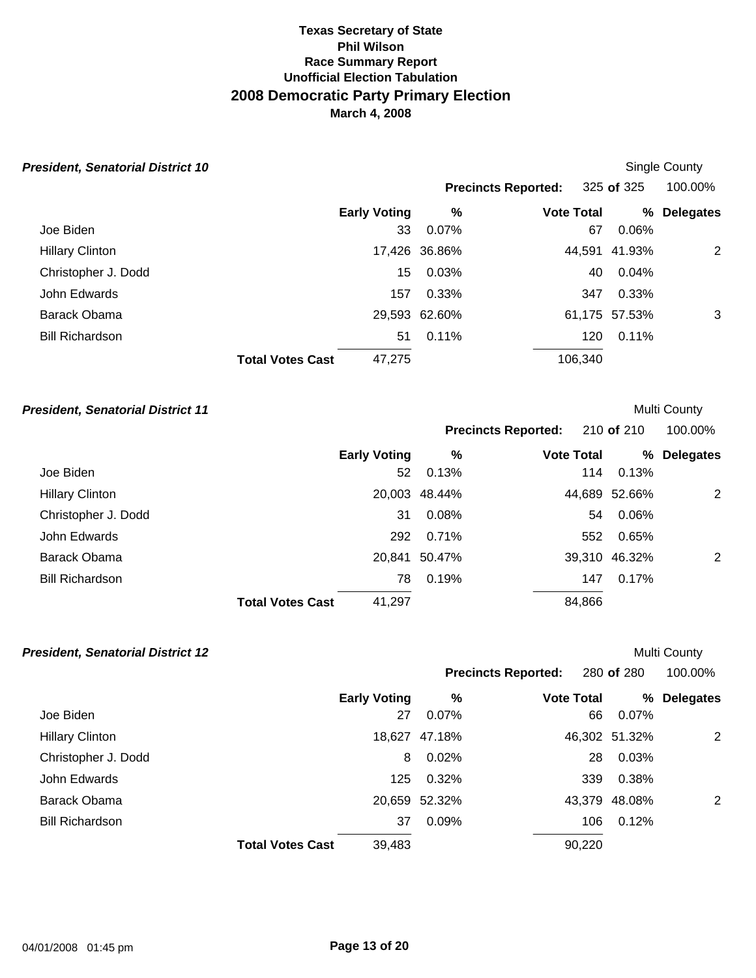| <b>President, Senatorial District 10</b> |                         |                     |               |                            | Single County |               |                  |
|------------------------------------------|-------------------------|---------------------|---------------|----------------------------|---------------|---------------|------------------|
|                                          |                         |                     |               | <b>Precincts Reported:</b> |               | 325 of 325    | 100.00%          |
|                                          |                         | <b>Early Voting</b> | %             | <b>Vote Total</b>          |               | ℅             | <b>Delegates</b> |
| Joe Biden                                |                         | 33                  | 0.07%         |                            | 67            | 0.06%         |                  |
| <b>Hillary Clinton</b>                   |                         |                     | 17,426 36.86% |                            |               | 44,591 41.93% | 2                |
| Christopher J. Dodd                      |                         | 15                  | 0.03%         |                            | 40            | 0.04%         |                  |
| John Edwards                             |                         | 157                 | 0.33%         |                            | 347           | 0.33%         |                  |
| Barack Obama                             |                         |                     | 29,593 62.60% |                            |               | 61,175 57.53% | 3                |
| <b>Bill Richardson</b>                   |                         | 51                  | 0.11%         |                            | 120           | 0.11%         |                  |
|                                          | <b>Total Votes Cast</b> | 47,275              |               | 106,340                    |               |               |                  |

### **President, Senatorial District 11 President, Senatorial District 11**

|                        |                         |                     |               | Precincts Reported: 210 of 210 |        |               | 100.00%          |  |
|------------------------|-------------------------|---------------------|---------------|--------------------------------|--------|---------------|------------------|--|
|                        |                         | <b>Early Voting</b> | %             | <b>Vote Total</b>              |        | %             | <b>Delegates</b> |  |
| Joe Biden              |                         | 52                  | 0.13%         |                                | 114    | 0.13%         |                  |  |
| <b>Hillary Clinton</b> |                         |                     | 20,003 48.44% |                                |        | 44,689 52.66% | 2                |  |
| Christopher J. Dodd    |                         | 31                  | 0.08%         |                                | 54     | 0.06%         |                  |  |
| John Edwards           |                         | 292                 | 0.71%         |                                | 552    | 0.65%         |                  |  |
| Barack Obama           |                         | 20,841              | 50.47%        |                                |        | 39,310 46.32% | 2                |  |
| <b>Bill Richardson</b> |                         | 78                  | 0.19%         |                                | 147    | 0.17%         |                  |  |
|                        | <b>Total Votes Cast</b> | 41,297              |               |                                | 84,866 |               |                  |  |

| <b>President, Senatorial District 12</b> |                         |                     |               |                            |               | <b>Multi County</b> |  |
|------------------------------------------|-------------------------|---------------------|---------------|----------------------------|---------------|---------------------|--|
|                                          |                         |                     |               | <b>Precincts Reported:</b> | 280 of 280    | 100.00%             |  |
|                                          |                         | <b>Early Voting</b> | %             | <b>Vote Total</b>          | ℅             | <b>Delegates</b>    |  |
| Joe Biden                                |                         | 27                  | 0.07%         | 66                         | 0.07%         |                     |  |
| <b>Hillary Clinton</b>                   |                         |                     | 18,627 47.18% |                            | 46,302 51.32% | 2                   |  |
| Christopher J. Dodd                      |                         | 8                   | 0.02%         | 28                         | 0.03%         |                     |  |
| John Edwards                             |                         | 125                 | 0.32%         | 339                        | 0.38%         |                     |  |
| Barack Obama                             |                         |                     | 20,659 52.32% |                            | 43,379 48.08% | 2                   |  |
| <b>Bill Richardson</b>                   |                         | 37                  | 0.09%         | 106                        | 0.12%         |                     |  |
|                                          | <b>Total Votes Cast</b> | 39,483              |               | 90,220                     |               |                     |  |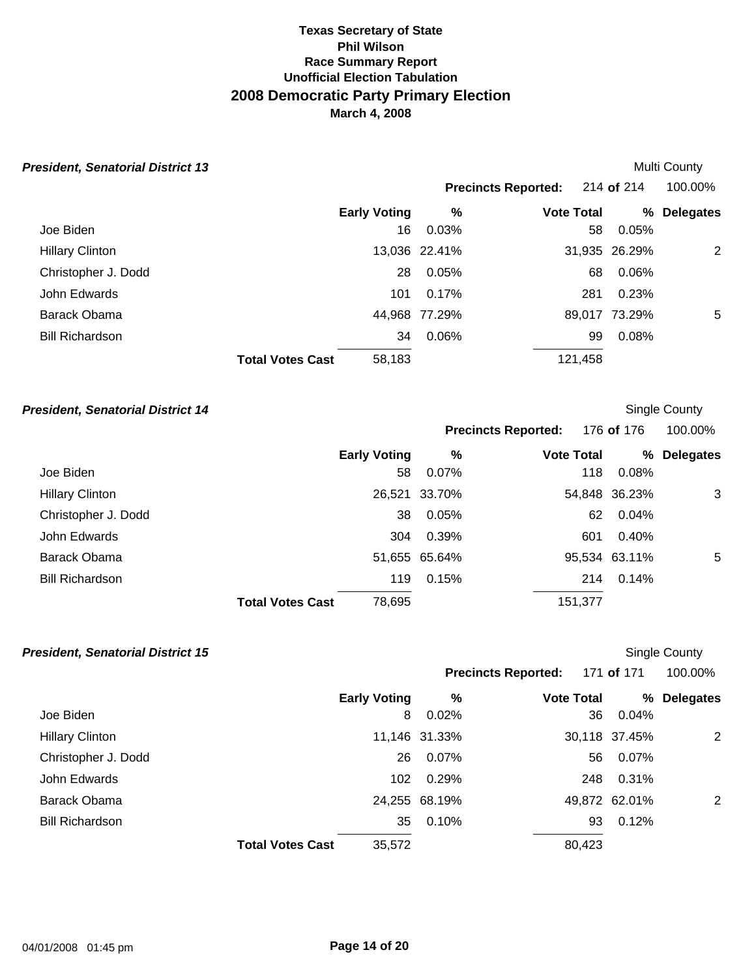| <b>President, Senatorial District 13</b> |                         |                     |               |                            |               | <b>Multi County</b> |  |
|------------------------------------------|-------------------------|---------------------|---------------|----------------------------|---------------|---------------------|--|
|                                          |                         |                     |               | <b>Precincts Reported:</b> | 214 of 214    | 100.00%             |  |
|                                          |                         | <b>Early Voting</b> | %             | <b>Vote Total</b>          | ℅             | <b>Delegates</b>    |  |
| Joe Biden                                |                         | 16                  | 0.03%         |                            | 0.05%<br>58   |                     |  |
| <b>Hillary Clinton</b>                   |                         |                     | 13,036 22.41% |                            | 31,935 26.29% | 2                   |  |
| Christopher J. Dodd                      |                         | 28                  | 0.05%         |                            | 0.06%<br>68   |                     |  |
| John Edwards                             |                         | 101                 | 0.17%         | 281                        | 0.23%         |                     |  |
| Barack Obama                             |                         |                     | 44,968 77.29% |                            | 89,017 73.29% | $5\overline{)}$     |  |
| <b>Bill Richardson</b>                   |                         | 34                  | 0.06%         |                            | 0.08%<br>99   |                     |  |
|                                          | <b>Total Votes Cast</b> | 58,183              |               | 121,458                    |               |                     |  |

# **President, Senatorial District 14 County President, Senatorial District 14 Single County**

|                        |                         |                     |               | <b>Precincts Reported:</b> |         | 176 <b>of</b> 176 | 100.00%          |
|------------------------|-------------------------|---------------------|---------------|----------------------------|---------|-------------------|------------------|
|                        |                         | <b>Early Voting</b> | %             | <b>Vote Total</b>          |         | %                 | <b>Delegates</b> |
| Joe Biden              |                         | 58                  | 0.07%         |                            | 118     | 0.08%             |                  |
| <b>Hillary Clinton</b> |                         |                     | 26,521 33.70% |                            |         | 54,848 36.23%     | 3                |
| Christopher J. Dodd    |                         | 38                  | 0.05%         |                            | 62      | 0.04%             |                  |
| John Edwards           |                         | 304                 | 0.39%         |                            | 601     | 0.40%             |                  |
| Barack Obama           |                         |                     | 51,655 65.64% |                            |         | 95,534 63.11%     | 5                |
| <b>Bill Richardson</b> |                         | 119                 | 0.15%         |                            | 214     | 0.14%             |                  |
|                        | <b>Total Votes Cast</b> | 78,695              |               |                            | 151,377 |                   |                  |

| <b>President, Senatorial District 15</b> |                         |                     |               |                            |               | Single County    |  |
|------------------------------------------|-------------------------|---------------------|---------------|----------------------------|---------------|------------------|--|
|                                          |                         |                     |               | <b>Precincts Reported:</b> | 171 of 171    | 100.00%          |  |
|                                          |                         | <b>Early Voting</b> | %             | <b>Vote Total</b>          | ℅             | <b>Delegates</b> |  |
| Joe Biden                                |                         | 8                   | 0.02%         |                            | 0.04%<br>36   |                  |  |
| <b>Hillary Clinton</b>                   |                         |                     | 11,146 31.33% |                            | 30,118 37.45% | 2                |  |
| Christopher J. Dodd                      |                         | 26                  | 0.07%         |                            | 0.07%<br>56   |                  |  |
| John Edwards                             |                         | 102                 | 0.29%         |                            | 0.31%<br>248  |                  |  |
| Barack Obama                             |                         |                     | 24,255 68.19% |                            | 49,872 62.01% | 2                |  |
| <b>Bill Richardson</b>                   |                         | 35                  | 0.10%         |                            | 0.12%<br>93   |                  |  |
|                                          | <b>Total Votes Cast</b> | 35,572              |               | 80,423                     |               |                  |  |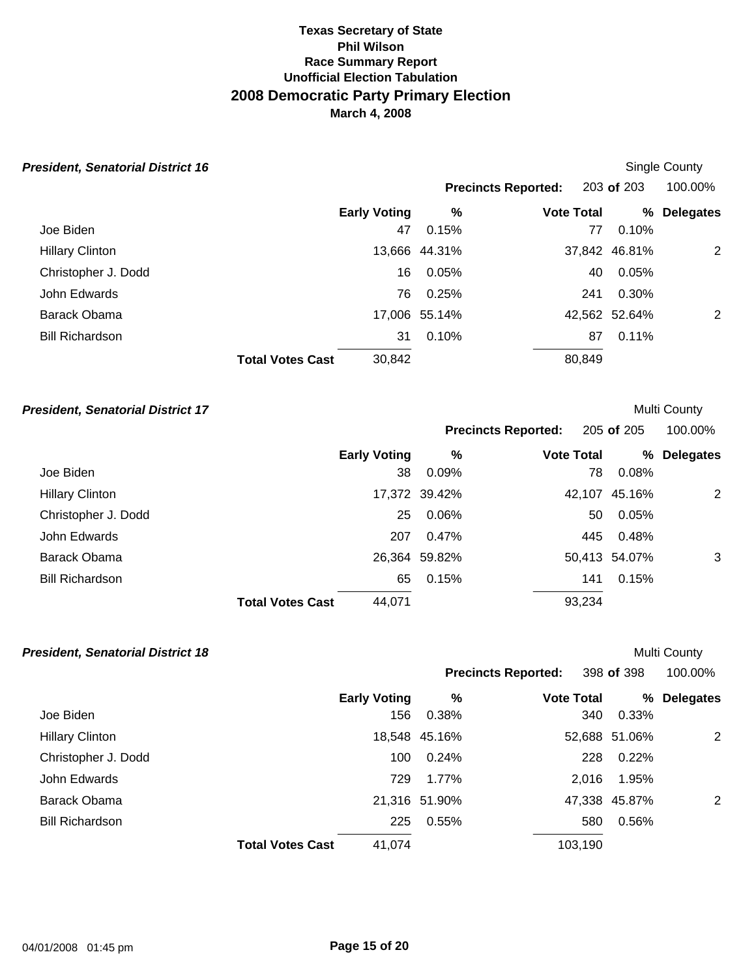| <b>President, Senatorial District 16</b> |                                   |               |                            |               | Single County    |
|------------------------------------------|-----------------------------------|---------------|----------------------------|---------------|------------------|
|                                          |                                   |               | <b>Precincts Reported:</b> | 203 of 203    | 100.00%          |
|                                          | <b>Early Voting</b>               | %             | <b>Vote Total</b>          | ℅             | <b>Delegates</b> |
| Joe Biden                                | 47                                | 0.15%         | 77                         | 0.10%         |                  |
| <b>Hillary Clinton</b>                   |                                   | 13,666 44.31% |                            | 37,842 46.81% | 2                |
| Christopher J. Dodd                      | 16                                | 0.05%         | 40                         | 0.05%         |                  |
| John Edwards                             | 76                                | 0.25%         | 241                        | 0.30%         |                  |
| Barack Obama                             |                                   | 17,006 55.14% |                            | 42,562 52.64% | 2                |
| <b>Bill Richardson</b>                   | 31                                | 0.10%         | 87                         | 0.11%         |                  |
|                                          | 30,842<br><b>Total Votes Cast</b> |               | 80,849                     |               |                  |

### **President, Senatorial District 17** and the senatorial of the senatorial of the senatorial of the senatorial of the senatorial of the senatorial of the senatorial of the senatorial of the senatorial of the senatorial of th

|                        |                         |                     |               | <b>Precincts Reported:</b> |        | 205 of 205    | 100.00%          |
|------------------------|-------------------------|---------------------|---------------|----------------------------|--------|---------------|------------------|
|                        |                         | <b>Early Voting</b> | %             | <b>Vote Total</b>          |        | %             | <b>Delegates</b> |
| Joe Biden              |                         | 38                  | 0.09%         |                            | 78     | 0.08%         |                  |
| <b>Hillary Clinton</b> |                         |                     | 17,372 39.42% |                            | 42,107 | 45.16%        | 2                |
| Christopher J. Dodd    |                         | 25                  | 0.06%         |                            | 50     | 0.05%         |                  |
| John Edwards           |                         | 207                 | 0.47%         |                            | 445    | 0.48%         |                  |
| Barack Obama           |                         |                     | 26,364 59.82% |                            |        | 50,413 54.07% | 3                |
| <b>Bill Richardson</b> |                         | 65                  | 0.15%         |                            | 141    | 0.15%         |                  |
|                        | <b>Total Votes Cast</b> | 44,071              |               |                            | 93,234 |               |                  |

| <b>President, Senatorial District 18</b> |                         |                     |               |                            |         |               | <b>Multi County</b> |
|------------------------------------------|-------------------------|---------------------|---------------|----------------------------|---------|---------------|---------------------|
|                                          |                         |                     |               | <b>Precincts Reported:</b> |         | 398 of 398    | 100.00%             |
|                                          |                         | <b>Early Voting</b> | %             | <b>Vote Total</b>          |         | ℅             | <b>Delegates</b>    |
| Joe Biden                                |                         | 156                 | 0.38%         |                            | 340     | 0.33%         |                     |
| <b>Hillary Clinton</b>                   |                         |                     | 18,548 45.16% |                            |         | 52,688 51.06% | 2                   |
| Christopher J. Dodd                      |                         | 100                 | 0.24%         |                            | 228     | 0.22%         |                     |
| John Edwards                             |                         | 729                 | 1.77%         |                            | 2.016   | 1.95%         |                     |
| Barack Obama                             |                         |                     | 21,316 51.90% |                            |         | 47,338 45.87% | 2                   |
| <b>Bill Richardson</b>                   |                         | 225                 | 0.55%         |                            | 580     | 0.56%         |                     |
|                                          | <b>Total Votes Cast</b> | 41,074              |               |                            | 103,190 |               |                     |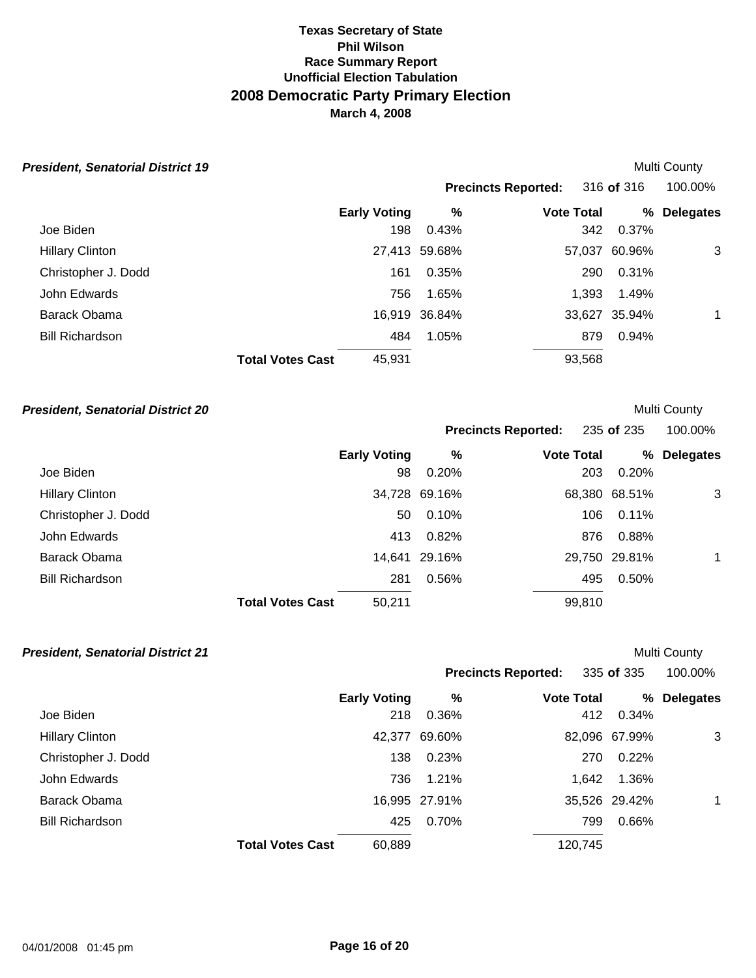| <b>President, Senatorial District 19</b> |                     |               |                            |               | <b>Multi County</b> |
|------------------------------------------|---------------------|---------------|----------------------------|---------------|---------------------|
|                                          |                     |               | <b>Precincts Reported:</b> | 316 of 316    | 100.00%             |
|                                          | <b>Early Voting</b> | %             | <b>Vote Total</b>          | ℅             | <b>Delegates</b>    |
| Joe Biden                                | 198                 | 0.43%         | 342                        | 0.37%         |                     |
| <b>Hillary Clinton</b>                   |                     | 27,413 59.68% |                            | 57,037 60.96% | 3                   |
| Christopher J. Dodd                      | 161                 | 0.35%         | 290                        | 0.31%         |                     |
| John Edwards                             | 756                 | 1.65%         | 1.393                      | 1.49%         |                     |
| Barack Obama                             |                     | 16,919 36.84% |                            | 33,627 35.94% |                     |
| <b>Bill Richardson</b>                   | 484                 | 1.05%         | 879                        | 0.94%         |                     |
| <b>Total Votes Cast</b>                  | 45,931              |               | 93,568                     |               |                     |

# **President, Senatorial District 20 All and Senatorial District 20 Multi County**

|                        |                         |                     |               | <b>Precincts Reported:</b> |        | 235 of 235    | 100.00%          |
|------------------------|-------------------------|---------------------|---------------|----------------------------|--------|---------------|------------------|
|                        |                         | <b>Early Voting</b> | %             | <b>Vote Total</b>          |        | %             | <b>Delegates</b> |
| Joe Biden              |                         | 98                  | 0.20%         |                            | 203    | 0.20%         |                  |
| <b>Hillary Clinton</b> |                         |                     | 34,728 69.16% |                            |        | 68,380 68.51% | 3                |
| Christopher J. Dodd    |                         | 50                  | 0.10%         |                            | 106    | 0.11%         |                  |
| John Edwards           |                         | 413                 | 0.82%         |                            | 876    | 0.88%         |                  |
| Barack Obama           |                         |                     | 14,641 29.16% |                            |        | 29,750 29.81% | $\mathbf 1$      |
| <b>Bill Richardson</b> |                         | 281                 | 0.56%         |                            | 495    | 0.50%         |                  |
|                        | <b>Total Votes Cast</b> | 50,211              |               |                            | 99,810 |               |                  |

| <b>President, Senatorial District 21</b> |                         |                     |               |                            |               | <b>Multi County</b> |
|------------------------------------------|-------------------------|---------------------|---------------|----------------------------|---------------|---------------------|
|                                          |                         |                     |               | <b>Precincts Reported:</b> | 335 of 335    | 100.00%             |
|                                          |                         | <b>Early Voting</b> | %             | <b>Vote Total</b>          | %             | <b>Delegates</b>    |
| Joe Biden                                |                         | 218                 | 0.36%         | 412                        | 0.34%         |                     |
| <b>Hillary Clinton</b>                   |                         |                     | 42,377 69.60% |                            | 82,096 67.99% | 3                   |
| Christopher J. Dodd                      |                         | 138                 | 0.23%         | 270                        | 0.22%         |                     |
| John Edwards                             |                         | 736                 | 1.21%         | 1.642                      | 1.36%         |                     |
| Barack Obama                             |                         |                     | 16,995 27.91% |                            | 35,526 29.42% |                     |
| <b>Bill Richardson</b>                   |                         | 425                 | 0.70%         | 799                        | 0.66%         |                     |
|                                          | <b>Total Votes Cast</b> | 60,889              |               | 120,745                    |               |                     |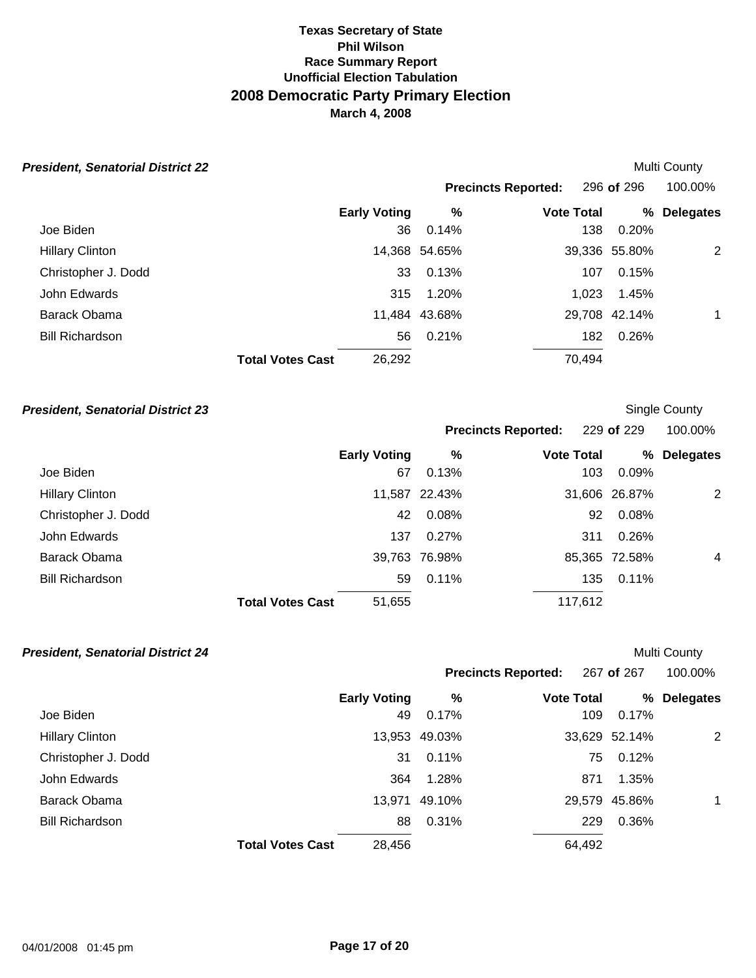| <b>President, Senatorial District 22</b> |                     |               |                            |               | <b>Multi County</b> |
|------------------------------------------|---------------------|---------------|----------------------------|---------------|---------------------|
|                                          |                     |               | <b>Precincts Reported:</b> | 296 of 296    | 100.00%             |
|                                          | <b>Early Voting</b> | %             | <b>Vote Total</b>          | ℅             | <b>Delegates</b>    |
| Joe Biden                                | 36                  | 0.14%         | 138                        | 0.20%         |                     |
| <b>Hillary Clinton</b>                   |                     | 14,368 54.65% |                            | 39,336 55.80% | 2                   |
| Christopher J. Dodd                      | 33                  | 0.13%         | 107                        | 0.15%         |                     |
| John Edwards                             | 315                 | 1.20%         | 1.023                      | 1.45%         |                     |
| Barack Obama                             |                     | 11,484 43.68% |                            | 29,708 42.14% | $\mathbf 1$         |
| <b>Bill Richardson</b>                   | 56                  | 0.21%         | 182                        | 0.26%         |                     |
| <b>Total Votes Cast</b>                  | 26,292              |               | 70,494                     |               |                     |

# **President, Senatorial District 23** Single County

|                        |                         |                     |               | <b>Precincts Reported:</b> |     | 229 of 229    | 100.00%          |
|------------------------|-------------------------|---------------------|---------------|----------------------------|-----|---------------|------------------|
|                        |                         | <b>Early Voting</b> | $\%$          | <b>Vote Total</b>          |     | %             | <b>Delegates</b> |
| Joe Biden              |                         | 67                  | 0.13%         |                            | 103 | 0.09%         |                  |
| <b>Hillary Clinton</b> |                         |                     | 11,587 22.43% |                            |     | 31,606 26.87% | 2                |
| Christopher J. Dodd    |                         | 42                  | 0.08%         |                            | 92  | 0.08%         |                  |
| John Edwards           |                         | 137                 | 0.27%         |                            | 311 | 0.26%         |                  |
| Barack Obama           |                         |                     | 39,763 76.98% |                            |     | 85,365 72.58% | 4                |
| <b>Bill Richardson</b> |                         | 59                  | 0.11%         |                            | 135 | $0.11\%$      |                  |
|                        | <b>Total Votes Cast</b> | 51,655              |               | 117,612                    |     |               |                  |

| <b>President, Senatorial District 24</b> |                         |                     |               |                            |               | <b>Multi County</b> |
|------------------------------------------|-------------------------|---------------------|---------------|----------------------------|---------------|---------------------|
|                                          |                         |                     |               | <b>Precincts Reported:</b> | 267 of 267    | 100.00%             |
|                                          |                         | <b>Early Voting</b> | %             | <b>Vote Total</b>          | ℅             | <b>Delegates</b>    |
| Joe Biden                                |                         | 49                  | 0.17%         | 109                        | 0.17%         |                     |
| <b>Hillary Clinton</b>                   |                         |                     | 13,953 49.03% |                            | 33,629 52.14% | 2                   |
| Christopher J. Dodd                      |                         | 31                  | $0.11\%$      | 75                         | 0.12%         |                     |
| John Edwards                             |                         | 364                 | 1.28%         | 871                        | 1.35%         |                     |
| Barack Obama                             |                         | 13,971              | 49.10%        |                            | 29,579 45.86% | 1                   |
| <b>Bill Richardson</b>                   |                         | 88                  | 0.31%         | 229                        | 0.36%         |                     |
|                                          | <b>Total Votes Cast</b> | 28,456              |               | 64,492                     |               |                     |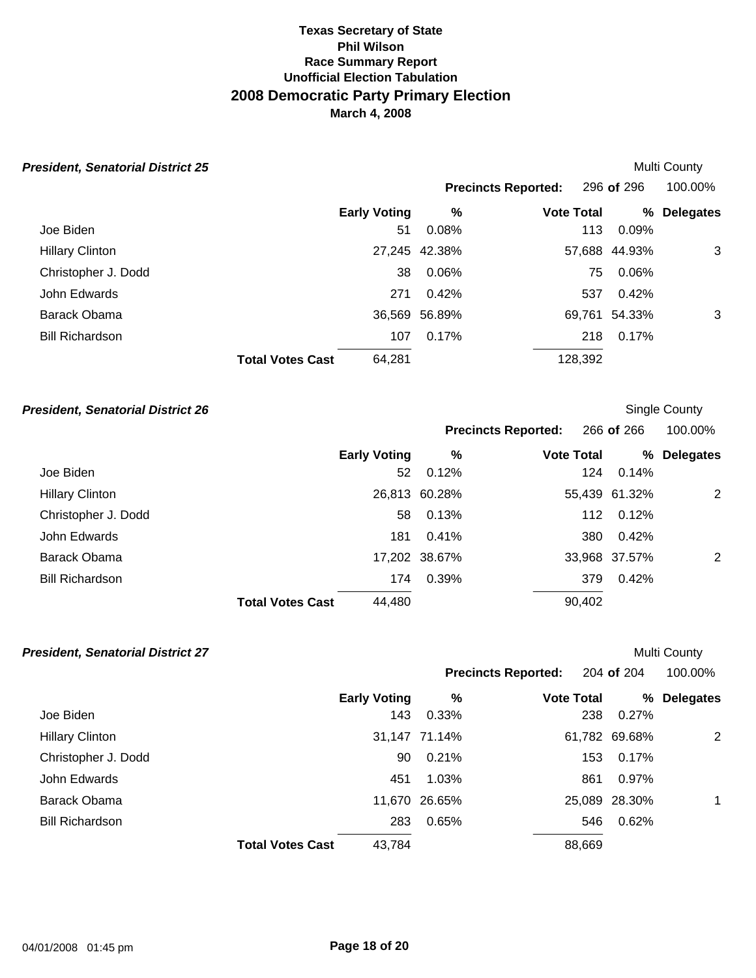| <b>President, Senatorial District 25</b> |                         |                     |               |                            |               | <b>Multi County</b> |
|------------------------------------------|-------------------------|---------------------|---------------|----------------------------|---------------|---------------------|
|                                          |                         |                     |               | <b>Precincts Reported:</b> | 296 of 296    | 100.00%             |
|                                          |                         | <b>Early Voting</b> | %             | <b>Vote Total</b>          | %             | <b>Delegates</b>    |
| Joe Biden                                |                         | 51                  | 0.08%         | 113                        | 0.09%         |                     |
| <b>Hillary Clinton</b>                   |                         |                     | 27,245 42.38% |                            | 57,688 44.93% | 3                   |
| Christopher J. Dodd                      |                         | 38                  | 0.06%         | 75                         | 0.06%         |                     |
| John Edwards                             |                         | 271                 | 0.42%         | 537                        | 0.42%         |                     |
| Barack Obama                             |                         |                     | 36,569 56.89% |                            | 69,761 54.33% | 3                   |
| <b>Bill Richardson</b>                   |                         | 107                 | 0.17%         | 218                        | 0.17%         |                     |
|                                          | <b>Total Votes Cast</b> | 64,281              |               | 128,392                    |               |                     |

# **President, Senatorial District 26 Single County President, Senatorial District 26**

|                        |                         |                     |               | <b>Precincts Reported:</b> |        | 266 of 266    | 100.00%          |  |
|------------------------|-------------------------|---------------------|---------------|----------------------------|--------|---------------|------------------|--|
|                        |                         | <b>Early Voting</b> | %             | <b>Vote Total</b>          |        | %             | <b>Delegates</b> |  |
| Joe Biden              |                         | 52                  | 0.12%         |                            | 124    | 0.14%         |                  |  |
| <b>Hillary Clinton</b> |                         |                     | 26,813 60.28% |                            |        | 55,439 61.32% | 2                |  |
| Christopher J. Dodd    |                         | 58                  | 0.13%         |                            | 112    | 0.12%         |                  |  |
| John Edwards           |                         | 181                 | 0.41%         |                            | 380    | 0.42%         |                  |  |
| Barack Obama           |                         |                     | 17,202 38.67% |                            |        | 33,968 37.57% | 2                |  |
| <b>Bill Richardson</b> |                         | 174                 | 0.39%         |                            | 379    | 0.42%         |                  |  |
|                        | <b>Total Votes Cast</b> | 44,480              |               |                            | 90,402 |               |                  |  |

| <b>President, Senatorial District 27</b> |                         |                     |               |                            |               | Multi County     |
|------------------------------------------|-------------------------|---------------------|---------------|----------------------------|---------------|------------------|
|                                          |                         |                     |               | <b>Precincts Reported:</b> | 204 of 204    | 100.00%          |
|                                          |                         | <b>Early Voting</b> | %             | <b>Vote Total</b>          | ℅             | <b>Delegates</b> |
| Joe Biden                                |                         | 143                 | 0.33%         | 238                        | 0.27%         |                  |
| <b>Hillary Clinton</b>                   |                         |                     | 31,147 71.14% |                            | 61,782 69.68% | 2                |
| Christopher J. Dodd                      |                         | 90                  | 0.21%         | 153                        | 0.17%         |                  |
| John Edwards                             |                         | 451                 | 1.03%         | 861                        | 0.97%         |                  |
| Barack Obama                             |                         |                     | 11,670 26.65% |                            | 25,089 28.30% | $\mathbf 1$      |
| <b>Bill Richardson</b>                   |                         | 283                 | 0.65%         | 546                        | 0.62%         |                  |
|                                          | <b>Total Votes Cast</b> | 43,784              |               | 88,669                     |               |                  |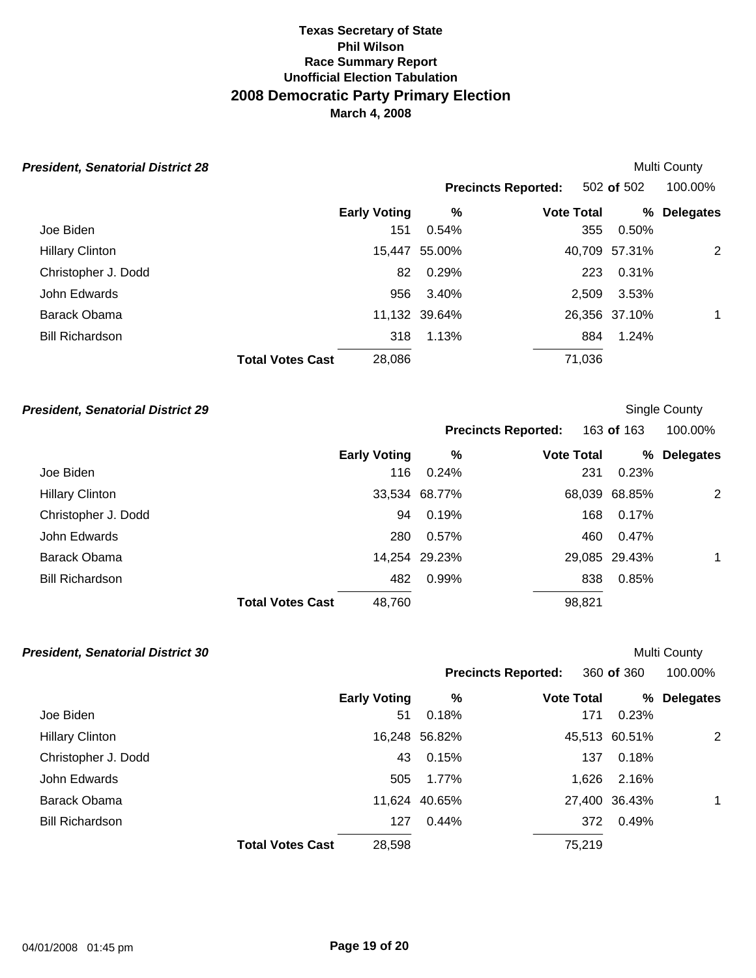| <b>President, Senatorial District 28</b> |                     |               |                            | <b>Multi County</b> |                  |  |
|------------------------------------------|---------------------|---------------|----------------------------|---------------------|------------------|--|
|                                          |                     |               | <b>Precincts Reported:</b> | 502 of 502          | 100.00%          |  |
|                                          | <b>Early Voting</b> | %             | <b>Vote Total</b>          | %                   | <b>Delegates</b> |  |
| Joe Biden                                | 151                 | 0.54%         | 355                        | 0.50%               |                  |  |
| <b>Hillary Clinton</b>                   |                     | 15,447 55.00% |                            | 40,709 57.31%       | 2                |  |
| Christopher J. Dodd                      | 82                  | 0.29%         | 223                        | 0.31%               |                  |  |
| John Edwards                             | 956                 | 3.40%         | 2.509                      | 3.53%               |                  |  |
| Barack Obama                             |                     | 11,132 39.64% |                            | 26,356 37.10%       | $\mathbf 1$      |  |
| <b>Bill Richardson</b>                   | 318                 | 1.13%         | 884                        | 1.24%               |                  |  |
| <b>Total Votes Cast</b>                  | 28,086              |               | 71,036                     |                     |                  |  |

# **President, Senatorial District 29 Single County President, Senatorial District 29**

|                                   |       |                                |                            | 100.00%                                                                                                                        |
|-----------------------------------|-------|--------------------------------|----------------------------|--------------------------------------------------------------------------------------------------------------------------------|
| <b>Early Voting</b>               | %     |                                |                            | <b>Delegates</b>                                                                                                               |
| 116                               | 0.24% |                                |                            |                                                                                                                                |
|                                   |       |                                |                            | 2                                                                                                                              |
| 94                                | 0.19% |                                |                            |                                                                                                                                |
| 280                               | 0.57% |                                | 0.47%                      |                                                                                                                                |
|                                   |       |                                |                            | $\mathbf 1$                                                                                                                    |
| 482                               | 0.99% |                                | 0.85%                      |                                                                                                                                |
| 48,760<br><b>Total Votes Cast</b> |       |                                |                            |                                                                                                                                |
|                                   |       | 33,534 68.77%<br>14,254 29.23% | <b>Precincts Reported:</b> | 163 of 163<br>℅<br><b>Vote Total</b><br>0.23%<br>231<br>68,039 68.85%<br>0.17%<br>168<br>460<br>29,085 29.43%<br>838<br>98,821 |

| <b>President, Senatorial District 30</b> |                         |                     |               |                            |               | Multi County     |  |
|------------------------------------------|-------------------------|---------------------|---------------|----------------------------|---------------|------------------|--|
|                                          |                         |                     |               | <b>Precincts Reported:</b> | 360 of 360    | 100.00%          |  |
|                                          |                         | <b>Early Voting</b> | %             | <b>Vote Total</b>          | %             | <b>Delegates</b> |  |
| Joe Biden                                |                         | 51                  | 0.18%         | 171                        | 0.23%         |                  |  |
| <b>Hillary Clinton</b>                   |                         |                     | 16,248 56.82% |                            | 45,513 60.51% | 2                |  |
| Christopher J. Dodd                      |                         | 43                  | 0.15%         | 137                        | 0.18%         |                  |  |
| John Edwards                             |                         | 505                 | 1.77%         | 1.626                      | 2.16%         |                  |  |
| Barack Obama                             |                         |                     | 11,624 40.65% |                            | 27,400 36.43% | $\mathbf 1$      |  |
| <b>Bill Richardson</b>                   |                         | 127                 | 0.44%         | 372                        | 0.49%         |                  |  |
|                                          | <b>Total Votes Cast</b> | 28,598              |               | 75,219                     |               |                  |  |